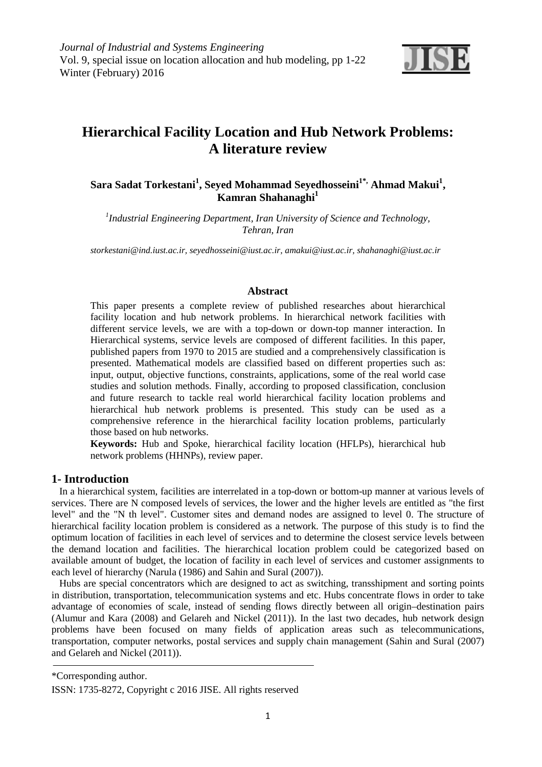

# **Hierarchical Facility Location and Hub Network Problems: A literature review**

# **Sara Sadat Torkestani<sup>1</sup> , Seyed Mohammad Seyedhosseini1\*, Ahmad Makui<sup>1</sup> , Kamran Shahanaghi<sup>1</sup>**

*1 Industrial Engineering Department, Iran University of Science and Technology, Tehran, Iran* 

*storkestani@ind.iust.ac.ir, seyedhosseini@iust.ac.ir, amakui@iust.ac.ir, shahanaghi@iust.ac.ir* 

## **Abstract**

This paper presents a complete review of published researches about hierarchical facility location and hub network problems. In hierarchical network facilities with different service levels, we are with a top-down or down-top manner interaction. In Hierarchical systems, service levels are composed of different facilities. In this paper, published papers from 1970 to 2015 are studied and a comprehensively classification is presented. Mathematical models are classified based on different properties such as: input, output, objective functions, constraints, applications, some of the real world case studies and solution methods. Finally, according to proposed classification, conclusion and future research to tackle real world hierarchical facility location problems and hierarchical hub network problems is presented. This study can be used as a comprehensive reference in the hierarchical facility location problems, particularly those based on hub networks.

**Keywords:** Hub and Spoke, hierarchical facility location (HFLPs), hierarchical hub network problems (HHNPs), review paper.

# **1- Introduction**

In a hierarchical system, facilities are interrelated in a top-down or bottom-up manner at various levels of services. There are N composed levels of services, the lower and the higher levels are entitled as "the first level" and the "N th level". Customer sites and demand nodes are assigned to level 0. The structure of hierarchical facility location problem is considered as a network. The purpose of this study is to find the optimum location of facilities in each level of services and to determine the closest service levels between the demand location and facilities. The hierarchical location problem could be categorized based on available amount of budget, the location of facility in each level of services and customer assignments to each level of hierarchy (Narula (1986) and Sahin and Sural (2007)).

Hubs are special concentrators which are designed to act as switching, transshipment and sorting points in distribution, transportation, telecommunication systems and etc. Hubs concentrate flows in order to take advantage of economies of scale, instead of sending flows directly between all origin–destination pairs (Alumur and Kara (2008) and Gelareh and Nickel (2011)). In the last two decades, hub network design problems have been focused on many fields of application areas such as telecommunications, transportation, computer networks, postal services and supply chain management (Sahin and Sural (2007) and Gelareh and Nickel (2011)).

\*Corresponding author.

ISSN: 1735-8272, Copyright c 2016 JISE. All rights reserved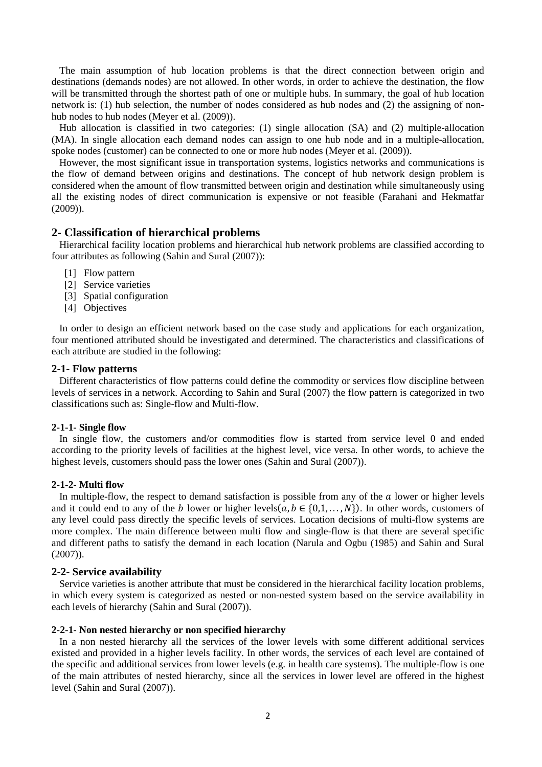The main assumption of hub location problems is that the direct connection between origin and destinations (demands nodes) are not allowed. In other words, in order to achieve the destination, the flow will be transmitted through the shortest path of one or multiple hubs. In summary, the goal of hub location network is: (1) hub selection, the number of nodes considered as hub nodes and (2) the assigning of nonhub nodes to hub nodes (Meyer et al. (2009)).

Hub allocation is classified in two categories: (1) single allocation (SA) and (2) multiple-allocation (MA). In single allocation each demand nodes can assign to one hub node and in a multiple-allocation, spoke nodes (customer) can be connected to one or more hub nodes (Meyer et al. (2009)).

However, the most significant issue in transportation systems, logistics networks and communications is the flow of demand between origins and destinations. The concept of hub network design problem is considered when the amount of flow transmitted between origin and destination while simultaneously using all the existing nodes of direct communication is expensive or not feasible (Farahani and Hekmatfar (2009)).

# **2- Classification of hierarchical problems**

Hierarchical facility location problems and hierarchical hub network problems are classified according to four attributes as following (Sahin and Sural (2007)):

- [1] Flow pattern
- [2] Service varieties
- [3] Spatial configuration
- [4] Objectives

In order to design an efficient network based on the case study and applications for each organization, four mentioned attributed should be investigated and determined. The characteristics and classifications of each attribute are studied in the following:

#### **2-1- Flow patterns**

Different characteristics of flow patterns could define the commodity or services flow discipline between levels of services in a network. According to Sahin and Sural (2007) the flow pattern is categorized in two classifications such as: Single-flow and Multi-flow.

#### **2-1-1- Single flow**

In single flow, the customers and/or commodities flow is started from service level 0 and ended according to the priority levels of facilities at the highest level, vice versa. In other words, to achieve the highest levels, customers should pass the lower ones (Sahin and Sural (2007)).

#### **2-1-2- Multi flow**

In multiple-flow, the respect to demand satisfaction is possible from any of the  $a$  lower or higher levels and it could end to any of the b lower or higher levels $(a, b \in \{0, 1, ..., N\})$ . In other words, customers of any level could pass directly the specific levels of services. Location decisions of multi-flow systems are more complex. The main difference between multi flow and single-flow is that there are several specific and different paths to satisfy the demand in each location (Narula and Ogbu (1985) and Sahin and Sural  $(2007)$ ).

# **2-2- Service availability**

Service varieties is another attribute that must be considered in the hierarchical facility location problems, in which every system is categorized as nested or non-nested system based on the service availability in each levels of hierarchy (Sahin and Sural (2007)).

#### **2-2-1- Non nested hierarchy or non specified hierarchy**

In a non nested hierarchy all the services of the lower levels with some different additional services existed and provided in a higher levels facility. In other words, the services of each level are contained of the specific and additional services from lower levels (e.g. in health care systems). The multiple-flow is one of the main attributes of nested hierarchy, since all the services in lower level are offered in the highest level (Sahin and Sural (2007)).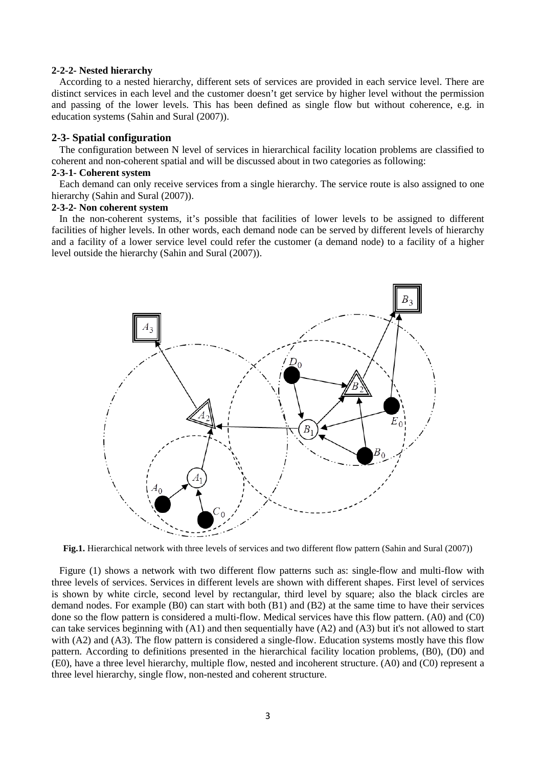#### **2-2-2- Nested hierarchy**

According to a nested hierarchy, different sets of services are provided in each service level. There are distinct services in each level and the customer doesn't get service by higher level without the permission and passing of the lower levels. This has been defined as single flow but without coherence, e.g. in education systems (Sahin and Sural (2007)).

### **2-3- Spatial configuration**

The configuration between N level of services in hierarchical facility location problems are classified to coherent and non-coherent spatial and will be discussed about in two categories as following:

#### **2-3-1- Coherent system**

Each demand can only receive services from a single hierarchy. The service route is also assigned to one hierarchy (Sahin and Sural (2007)).

### **2-3-2- Non coherent system**

In the non-coherent systems, it's possible that facilities of lower levels to be assigned to different facilities of higher levels. In other words, each demand node can be served by different levels of hierarchy and a facility of a lower service level could refer the customer (a demand node) to a facility of a higher level outside the hierarchy (Sahin and Sural (2007)).



**Fig.1.** Hierarchical network with three levels of services and two different flow pattern (Sahin and Sural (2007))

Figure (1) shows a network with two different flow patterns such as: single-flow and multi-flow with three levels of services. Services in different levels are shown with different shapes. First level of services is shown by white circle, second level by rectangular, third level by square; also the black circles are demand nodes. For example (B0) can start with both (B1) and (B2) at the same time to have their services done so the flow pattern is considered a multi-flow. Medical services have this flow pattern. (A0) and (C0) can take services beginning with  $(A1)$  and then sequentially have  $(A2)$  and  $(A3)$  but it's not allowed to start with (A2) and (A3). The flow pattern is considered a single-flow. Education systems mostly have this flow pattern. According to definitions presented in the hierarchical facility location problems, (B0), (D0) and (E0), have a three level hierarchy, multiple flow, nested and incoherent structure. (A0) and (C0) represent a three level hierarchy, single flow, non-nested and coherent structure.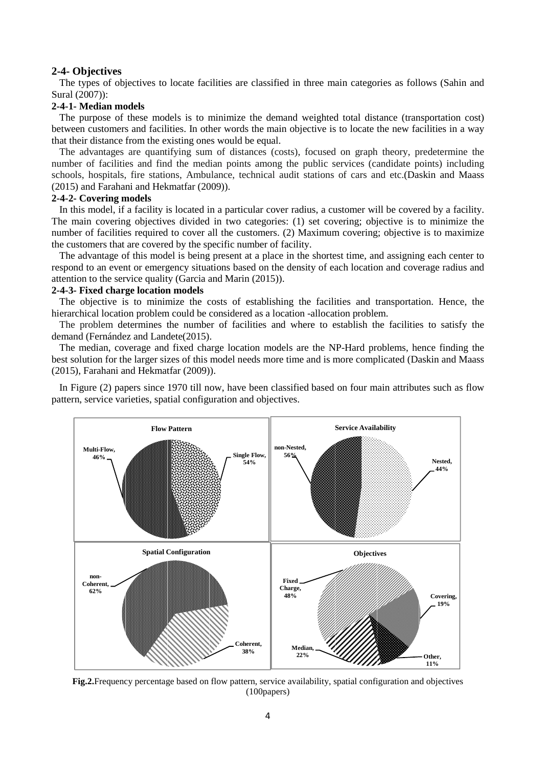### **2-4- Objectives**

The types of objectives to locate facilities are classified in three main categories as follows (Sahin and Sural (2007)):

# **2-4-1- Median models**

The purpose of these models is to minimize the demand weighted total distance (transportation cost) between customers and facilities. In other words the main objective is to locate the new facilities in a way that their distance from the existing ones would be equal.

The advantages are quantifying sum of distances (costs), focused on graph theory, predetermine the number of facilities and find the median points among the public services (candidate points) including schools, hospitals, fire stations, Ambulance, technical audit stations of cars and etc.(Daskin and Maass (2015) and Farahani and Hekmatfar (2009)).

#### **2-4-2- Covering models**

In this model, if a facility is located in a particular cover radius, a customer will be covered by a facility. The main covering objectives divided in two categories: (1) set covering; objective is to minimize the number of facilities required to cover all the customers. (2) Maximum covering; objective is to maximize the customers that are covered by the specific number of facility.

The advantage of this model is being present at a place in the shortest time, and assigning each center to respond to an event or emergency situations based on the density of each location and coverage radius and attention to the service quality (Garcia and Marin (2015)).

#### **2-4-3- Fixed charge location models**

The objective is to minimize the costs of establishing the facilities and transportation. Hence, the hierarchical location problem could be considered as a location -allocation problem.

The problem determines the number of facilities and where to establish the facilities to satisfy the demand (Fernández and Landete(2015).

The median, coverage and fixed charge location models are the NP-Hard problems, hence finding the best solution for the larger sizes of this model needs more time and is more complicated (Daskin and Maass (2015), Farahani and Hekmatfar (2009)).

In Figure (2) papers since 1970 till now, have been classified based on four main attributes such as flow pattern, service varieties, spatial configuration and objectives.



**Fig.2.**Frequency percentage based on flow pattern, service availability, spatial configuration and objectives (100papers)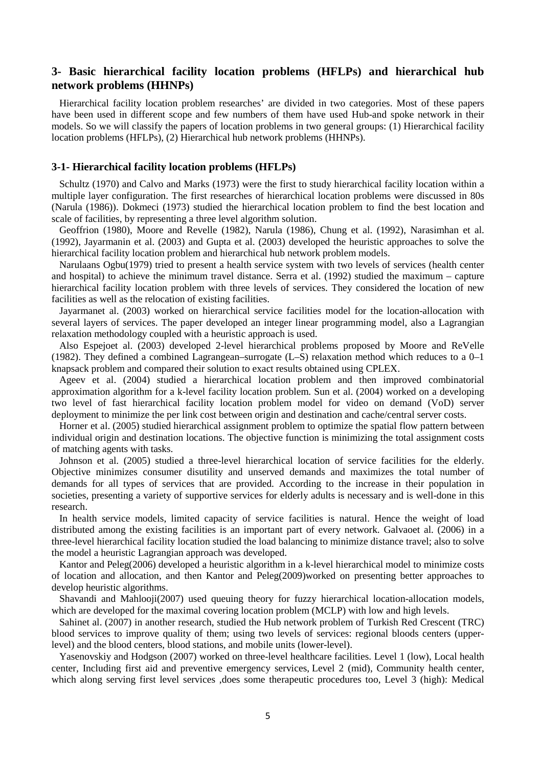# **3- Basic hierarchical facility location problems (HFLPs) and hierarchical hub network problems (HHNPs)**

Hierarchical facility location problem researches' are divided in two categories. Most of these papers have been used in different scope and few numbers of them have used Hub-and spoke network in their models. So we will classify the papers of location problems in two general groups: (1) Hierarchical facility location problems (HFLPs), (2) Hierarchical hub network problems (HHNPs).

### **3-1- Hierarchical facility location problems (HFLPs)**

Schultz (1970) and Calvo and Marks (1973) were the first to study hierarchical facility location within a multiple layer configuration. The first researches of hierarchical location problems were discussed in 80s (Narula (1986)). Dokmeci (1973) studied the hierarchical location problem to find the best location and scale of facilities, by representing a three level algorithm solution.

Geoffrion (1980), Moore and Revelle (1982), Narula (1986), Chung et al. (1992), Narasimhan et al. (1992), Jayarmanin et al. (2003) and Gupta et al. (2003) developed the heuristic approaches to solve the hierarchical facility location problem and hierarchical hub network problem models.

Narulaans Ogbu(1979) tried to present a health service system with two levels of services (health center and hospital) to achieve the minimum travel distance. Serra et al. (1992) studied the maximum – capture hierarchical facility location problem with three levels of services. They considered the location of new facilities as well as the relocation of existing facilities.

Jayarmanet al. (2003) worked on hierarchical service facilities model for the location-allocation with several layers of services. The paper developed an integer linear programming model, also a Lagrangian relaxation methodology coupled with a heuristic approach is used.

Also Espejoet al. (2003) developed 2-level hierarchical problems proposed by Moore and ReVelle (1982). They defined a combined Lagrangean–surrogate (L–S) relaxation method which reduces to a 0–1 knapsack problem and compared their solution to exact results obtained using CPLEX.

Ageev et al. (2004) studied a hierarchical location problem and then improved combinatorial approximation algorithm for a k-level facility location problem. Sun et al. (2004) worked on a developing two level of fast hierarchical facility location problem model for video on demand (VoD) server deployment to minimize the per link cost between origin and destination and cache/central server costs.

Horner et al. (2005) studied hierarchical assignment problem to optimize the spatial flow pattern between individual origin and destination locations. The objective function is minimizing the total assignment costs of matching agents with tasks.

Johnson et al. (2005) studied a three-level hierarchical location of service facilities for the elderly. Objective minimizes consumer disutility and unserved demands and maximizes the total number of demands for all types of services that are provided. According to the increase in their population in societies, presenting a variety of supportive services for elderly adults is necessary and is well-done in this research.

In health service models, limited capacity of service facilities is natural. Hence the weight of load distributed among the existing facilities is an important part of every network. Galvaoet al. (2006) in a three-level hierarchical facility location studied the load balancing to minimize distance travel; also to solve the model a heuristic Lagrangian approach was developed.

Kantor and Peleg(2006) developed a heuristic algorithm in a k-level hierarchical model to minimize costs of location and allocation, and then Kantor and Peleg(2009)worked on presenting better approaches to develop heuristic algorithms.

Shavandi and Mahlooji(2007) used queuing theory for fuzzy hierarchical location-allocation models, which are developed for the maximal covering location problem (MCLP) with low and high levels.

Sahinet al. (2007) in another research, studied the Hub network problem of Turkish Red Crescent (TRC) blood services to improve quality of them; using two levels of services: regional bloods centers (upperlevel) and the blood centers, blood stations, and mobile units (lower-level).

Yasenovskiy and Hodgson (2007) worked on three-level healthcare facilities. Level 1 (low), Local health center, Including first aid and preventive emergency services, Level 2 (mid), Community health center, which along serving first level services ,does some therapeutic procedures too, Level 3 (high): Medical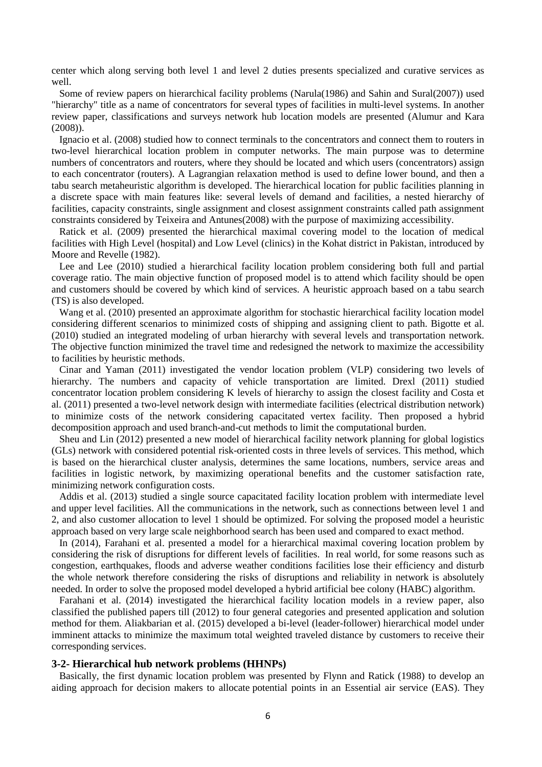center which along serving both level 1 and level 2 duties presents specialized and curative services as well.

Some of review papers on hierarchical facility problems (Narula(1986) and Sahin and Sural(2007)) used "hierarchy" title as a name of concentrators for several types of facilities in multi-level systems. In another review paper, classifications and surveys network hub location models are presented (Alumur and Kara (2008)).

Ignacio et al. (2008) studied how to connect terminals to the concentrators and connect them to routers in two-level hierarchical location problem in computer networks. The main purpose was to determine numbers of concentrators and routers, where they should be located and which users (concentrators) assign to each concentrator (routers). A Lagrangian relaxation method is used to define lower bound, and then a tabu search metaheuristic algorithm is developed. The hierarchical location for public facilities planning in a discrete space with main features like: several levels of demand and facilities, a nested hierarchy of facilities, capacity constraints, single assignment and closest assignment constraints called path assignment constraints considered by Teixeira and Antunes(2008) with the purpose of maximizing accessibility.

Ratick et al. (2009) presented the hierarchical maximal covering model to the location of medical facilities with High Level (hospital) and Low Level (clinics) in the Kohat district in Pakistan, introduced by Moore and Revelle (1982).

Lee and Lee (2010) studied a hierarchical facility location problem considering both full and partial coverage ratio. The main objective function of proposed model is to attend which facility should be open and customers should be covered by which kind of services. A heuristic approach based on a tabu search (TS) is also developed.

Wang et al. (2010) presented an approximate algorithm for stochastic hierarchical facility location model considering different scenarios to minimized costs of shipping and assigning client to path. Bigotte et al. (2010) studied an integrated modeling of urban hierarchy with several levels and transportation network. The objective function minimized the travel time and redesigned the network to maximize the accessibility to facilities by heuristic methods.

Cinar and Yaman (2011) investigated the vendor location problem (VLP) considering two levels of hierarchy. The numbers and capacity of vehicle transportation are limited. Drexl (2011) studied concentrator location problem considering K levels of hierarchy to assign the closest facility and Costa et al. (2011) presented a two-level network design with intermediate facilities (electrical distribution network) to minimize costs of the network considering capacitated vertex facility. Then proposed a hybrid decomposition approach and used branch-and-cut methods to limit the computational burden.

Sheu and Lin (2012) presented a new model of hierarchical facility network planning for global logistics (GLs) network with considered potential risk-oriented costs in three levels of services. This method, which is based on the hierarchical cluster analysis, determines the same locations, numbers, service areas and facilities in logistic network, by maximizing operational benefits and the customer satisfaction rate, minimizing network configuration costs.

Addis et al. (2013) studied a single source capacitated facility location problem with intermediate level and upper level facilities. All the communications in the network, such as connections between level 1 and 2, and also customer allocation to level 1 should be optimized. For solving the proposed model a heuristic approach based on very large scale neighborhood search has been used and compared to exact method.

In (2014), Farahani et al. presented a model for a hierarchical maximal covering location problem by considering the risk of disruptions for different levels of facilities. In real world, for some reasons such as congestion, earthquakes, floods and adverse weather conditions facilities lose their efficiency and disturb the whole network therefore considering the risks of disruptions and reliability in network is absolutely needed. In order to solve the proposed model developed a hybrid artificial bee colony (HABC) algorithm.

Farahani et al. (2014) investigated the hierarchical facility location models in a review paper, also classified the published papers till (2012) to four general categories and presented application and solution method for them. Aliakbarian et al. (2015) developed a bi-level (leader-follower) hierarchical model under imminent attacks to minimize the maximum total weighted traveled distance by customers to receive their corresponding services.

### **3-2- Hierarchical hub network problems (HHNPs)**

Basically, the first dynamic location problem was presented by Flynn and Ratick (1988) to develop an aiding approach for decision makers to allocate potential points in an Essential air service (EAS). They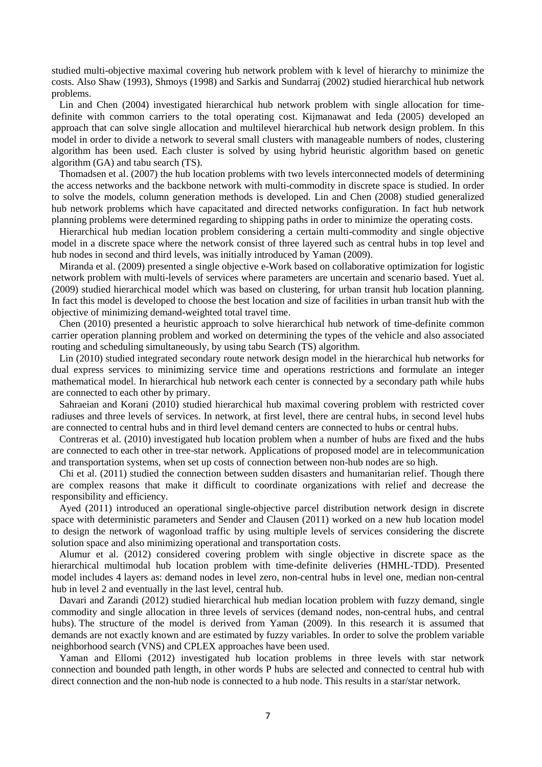studied multi-objective maximal covering hub network problem with k level of hierarchy to minimize the costs. Also Shaw (1993), Shmoys (1998) and Sarkis and Sundarraj (2002) studied hierarchical hub network problems.

Lin and Chen (2004) investigated hierarchical hub network problem with single allocation for timedefinite with common carriers to the total operating cost. Kijmanawat and Ieda (2005) developed an approach that can solve single allocation and multilevel hierarchical hub network design problem. In this model in order to divide a network to several small clusters with manageable numbers of nodes, clustering algorithm has been used. Each cluster is solved by using hybrid heuristic algorithm based on genetic algorithm (GA) and tabu search (TS).

Thomadsen et al. (2007) the hub location problems with two levels interconnected models of determining the access networks and the backbone network with multi-commodity in discrete space is studied. In order to solve the models, column generation methods is developed. Lin and Chen (2008) studied generalized hub network problems which have capacitated and directed networks configuration. In fact hub network planning problems were determined regarding to shipping paths in order to minimize the operating costs.

Hierarchical hub median location problem considering a certain multi-commodity and single objective model in a discrete space where the network consist of three layered such as central hubs in top level and hub nodes in second and third levels, was initially introduced by Yaman (2009).

Miranda et al. (2009) presented a single objective e-Work based on collaborative optimization for logistic network problem with multi-levels of services where parameters are uncertain and scenario based. Yuet al. (2009) studied hierarchical model which was based on clustering, for urban transit hub location planning. In fact this model is developed to choose the best location and size of facilities in urban transit hub with the objective of minimizing demand-weighted total travel time.

Chen (2010) presented a heuristic approach to solve hierarchical hub network of time-definite common carrier operation planning problem and worked on determining the types of the vehicle and also associated routing and scheduling simultaneously, by using tabu Search (TS) algorithm.

Lin (2010) studied integrated secondary route network design model in the hierarchical hub networks for dual express services to minimizing service time and operations restrictions and formulate an integer mathematical model. In hierarchical hub network each center is connected by a secondary path while hubs are connected to each other by primary.

Sahraeian and Korani (2010) studied hierarchical hub maximal covering problem with restricted cover radiuses and three levels of services. In network, at first level, there are central hubs, in second level hubs are connected to central hubs and in third level demand centers are connected to hubs or central hubs.

Contreras et al. (2010) investigated hub location problem when a number of hubs are fixed and the hubs are connected to each other in tree-star network. Applications of proposed model are in telecommunication and transportation systems, when set up costs of connection between non-hub nodes are so high.

Chi et al. (2011) studied the connection between sudden disasters and humanitarian relief. Though there are complex reasons that make it difficult to coordinate organizations with relief and decrease the responsibility and efficiency.

Ayed (2011) introduced an operational single-objective parcel distribution network design in discrete space with deterministic parameters and Sender and Clausen (2011) worked on a new hub location model to design the network of wagonload traffic by using multiple levels of services considering the discrete solution space and also minimizing operational and transportation costs.

Alumur et al. (2012) considered covering problem with single objective in discrete space as the hierarchical multimodal hub location problem with time-definite deliveries (HMHL-TDD). Presented model includes 4 layers as: demand nodes in level zero, non-central hubs in level one, median non-central hub in level 2 and eventually in the last level, central hub.

Davari and Zarandi (2012) studied hierarchical hub median location problem with fuzzy demand, single commodity and single allocation in three levels of services (demand nodes, non-central hubs, and central hubs). The structure of the model is derived from Yaman (2009). In this research it is assumed that demands are not exactly known and are estimated by fuzzy variables. In order to solve the problem variable neighborhood search (VNS) and CPLEX approaches have been used.

Yaman and Ellomi (2012) investigated hub location problems in three levels with star network connection and bounded path length, in other words P hubs are selected and connected to central hub with direct connection and the non-hub node is connected to a hub node. This results in a star/star network.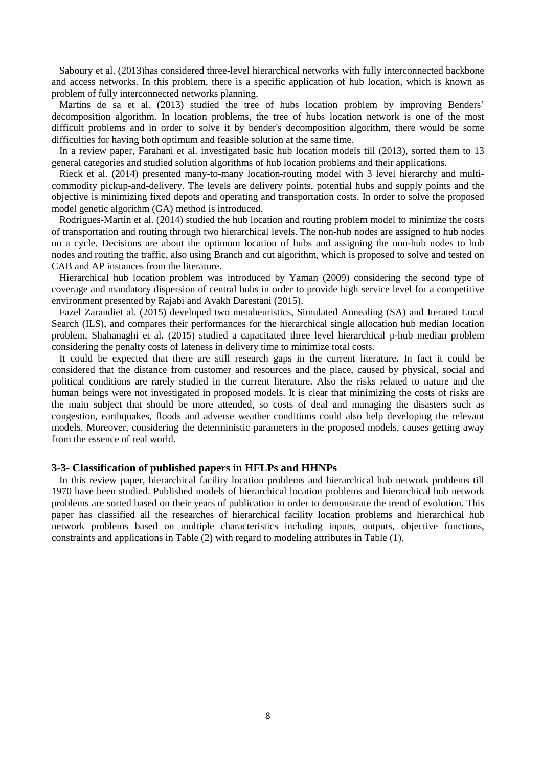Saboury et al. (2013)has considered three-level hierarchical networks with fully interconnected backbone and access networks. In this problem, there is a specific application of hub location, which is known as problem of fully interconnected networks planning.

Martins de sa et al. (2013) studied the tree of hubs location problem by improving Benders' decomposition algorithm. In location problems, the tree of hubs location network is one of the most difficult problems and in order to solve it by bender's decomposition algorithm, there would be some difficulties for having both optimum and feasible solution at the same time.

In a review paper, Farahani et al. investigated basic hub location models till (2013), sorted them to 13 general categories and studied solution algorithms of hub location problems and their applications.

Rieck et al. (2014) presented many-to-many location-routing model with 3 level hierarchy and multicommodity pickup-and-delivery. The levels are delivery points, potential hubs and supply points and the objective is minimizing fixed depots and operating and transportation costs. In order to solve the proposed model genetic algorithm (GA) method is introduced.

Rodrigues-Martin et al. (2014) studied the hub location and routing problem model to minimize the costs of transportation and routing through two hierarchical levels. The non-hub nodes are assigned to hub nodes on a cycle. Decisions are about the optimum location of hubs and assigning the non-hub nodes to hub nodes and routing the traffic, also using Branch and cut algorithm, which is proposed to solve and tested on CAB and AP instances from the literature.

Hierarchical hub location problem was introduced by Yaman (2009) considering the second type of coverage and mandatory dispersion of central hubs in order to provide high service level for a competitive environment presented by Rajabi and Avakh Darestani (2015).

Fazel Zarandiet al. (2015) developed two metaheuristics, Simulated Annealing (SA) and Iterated Local Search (ILS), and compares their performances for the hierarchical single allocation hub median location problem. Shahanaghi et al. (2015) studied a capacitated three level hierarchical p-hub median problem considering the penalty costs of lateness in delivery time to minimize total costs.

It could be expected that there are still research gaps in the current literature. In fact it could be considered that the distance from customer and resources and the place, caused by physical, social and political conditions are rarely studied in the current literature. Also the risks related to nature and the human beings were not investigated in proposed models. It is clear that minimizing the costs of risks are the main subject that should be more attended, so costs of deal and managing the disasters such as congestion, earthquakes, floods and adverse weather conditions could also help developing the relevant models. Moreover, considering the deterministic parameters in the proposed models, causes getting away from the essence of real world.

# **3-3- Classification of published papers in HFLPs and HHNPs**

In this review paper, hierarchical facility location problems and hierarchical hub network problems till 1970 have been studied. Published models of hierarchical location problems and hierarchical hub network problems are sorted based on their years of publication in order to demonstrate the trend of evolution. This paper has classified all the researches of hierarchical facility location problems and hierarchical hub network problems based on multiple characteristics including inputs, outputs, objective functions, constraints and applications in Table (2) with regard to modeling attributes in Table (1).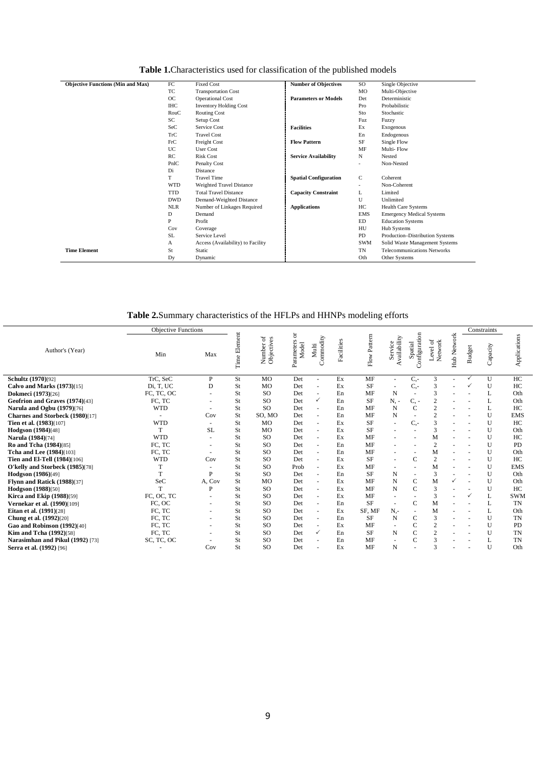| <b>Table 1.</b> Characteristics used for classification of the published models |  |
|---------------------------------------------------------------------------------|--|
|---------------------------------------------------------------------------------|--|

| <b>Objective Functions (Min and Max)</b> | FC         | <b>Fixed Cost</b>                 | <b>Number of Objectives</b>  | SO         | Single Objective                   |
|------------------------------------------|------------|-----------------------------------|------------------------------|------------|------------------------------------|
|                                          | TC         | <b>Transportation Cost</b>        |                              | <b>MO</b>  | Multi-Objective                    |
|                                          | OC         | <b>Operational Cost</b>           | <b>Parameters or Models</b>  | Det        | Deterministic                      |
|                                          | <b>IHC</b> | <b>Inventory Holding Cost</b>     |                              | Pro        | Probabilistic                      |
|                                          | RouC       | <b>Routing Cost</b>               |                              | Sto        | Stochastic                         |
|                                          | SC         | Setup Cost                        |                              | Fuz        | Fuzzy                              |
|                                          | SeC        | Service Cost                      | <b>Facilities</b>            | Ex         | Exogenous                          |
|                                          | TrC        | <b>Travel Cost</b>                |                              | En         | Endogenous                         |
|                                          | FrC        | Freight Cost                      | <b>Flow Pattern</b>          | SF         | Single Flow                        |
|                                          | <b>UC</b>  | <b>User Cost</b>                  |                              | MF         | Multi-Flow                         |
|                                          | RC         | <b>Risk Cost</b>                  | <b>Service Availability</b>  | N          | Nested                             |
|                                          | PnlC       | Penalty Cost                      |                              | ٠          | Non-Nested                         |
|                                          | Di         | Distance                          |                              |            |                                    |
|                                          | T          | <b>Travel Time</b>                | <b>Spatial Configuration</b> | C          | Coherent                           |
|                                          | <b>WTD</b> | Weighted Travel Distance          |                              | ٠          | Non-Coherent                       |
|                                          | <b>TTD</b> | <b>Total Travel Distance</b>      | <b>Capacity Constraint</b>   | L          | Limited                            |
|                                          | <b>DWD</b> | Demand-Weighted Distance          |                              | U          | Unlimited                          |
|                                          | <b>NLR</b> | Number of Linkages Required       | <b>Applications</b>          | HC         | <b>Health Care Systems</b>         |
|                                          | D          | Demand                            |                              | <b>EMS</b> | <b>Emergency Medical Systems</b>   |
|                                          | P          | Profit                            |                              | ED         | <b>Education Systems</b>           |
|                                          | Cov        | Coverage                          |                              | HU         | Hub Systems                        |
|                                          | SL.        | Service Level                     |                              | <b>PD</b>  | Production-Distribution Systems    |
|                                          | А          | Access (Availability) to Facility |                              | <b>SWM</b> | Solid Waste Management Systems     |
| <b>Time Element</b>                      | St         | Static                            |                              | TN         | <b>Telecommunications Networks</b> |
|                                          | Dy         | Dynamic                           |                              | Oth        | Other Systems                      |

# **Table 2.**Summary characteristics of the HFLPs and HHNPs modeling efforts

|                                    | <b>Objective Functions</b> |                          |                 |                                          |                          |                          |            |                         |                         |                          |                              |              |              | Constraints  |              |
|------------------------------------|----------------------------|--------------------------|-----------------|------------------------------------------|--------------------------|--------------------------|------------|-------------------------|-------------------------|--------------------------|------------------------------|--------------|--------------|--------------|--------------|
| Author's (Year)                    | Min                        | Max                      | Element<br>Time | ð<br>$\mathbf{e}$<br>Number<br>Objective | ă<br>Parameters<br>Model | Commodity<br>Multi       | Facilities | Pattern<br>${\rm Flow}$ | Availability<br>Service | Configuration<br>Spatial | $\delta$<br>Network<br>Level | Hub Network  | udget<br>m   | Capacity     | Applications |
| Schultz (1970)[92]                 | TrC, SeC                   | P                        | St              | MO                                       | Det                      | ÷,                       | Ex         | MF                      | $\sim$                  | $C -$                    | 3                            |              | $\checkmark$ | $\mathbf{U}$ | HC           |
| <b>Calvo and Marks (1973)</b> [15] | Di, T, UC                  | D                        | St              | MO                                       | Det                      | $\bar{a}$                | Ex         | <b>SF</b>               |                         | $C$ -                    | 3                            |              |              | U            | HC           |
| <b>Dokmeci</b> (1973)[26]          | FC, TC, OC                 |                          | St              | <sub>SO</sub>                            | Det                      | $\sim$                   | En         | MF                      | N                       | ٠                        | 3                            |              |              |              | Oth          |
| Geofrion and Graves (1974)[43]     | FC, TC                     | $\overline{\phantom{a}}$ | St              | SO.                                      | Det                      | $\checkmark$             | En         | <b>SF</b>               | N.-                     | $C -$                    | $\overline{2}$               |              |              |              | Oth          |
| Narula and Ogbu (1979)[76]         | <b>WTD</b>                 |                          | St              | <sub>SO</sub>                            | Det                      | $\sim$                   | En         | MF                      | N                       | $\overline{C}$           | $\overline{c}$               |              |              |              | HC           |
| Charnes and Storbeck (1980)[17]    |                            | Cov                      | St              | SO, MO                                   | Det                      | $\bar{a}$                | En         | MF                      | N                       | ٠                        | $\overline{2}$               |              |              | U            | <b>EMS</b>   |
| <b>Tien et al.</b> (1983)[107]     | <b>WTD</b>                 |                          | St              | MO                                       | Det                      | $\sim$                   | Ex         | <b>SF</b>               | $\sim$                  | $C$ -                    | 3                            |              |              | U            | HC           |
| Hodgson (1984)[48]                 | T                          | <b>SL</b>                | St              | <b>MO</b>                                | Det                      | ä,                       | Ex         | <b>SF</b>               |                         | ٠                        | 3                            |              |              | $\mathbf{U}$ | Oth          |
| Narula (1984)[74]                  | <b>WTD</b>                 |                          | St              | SO.                                      | Det                      | $\sim$                   | Ex         | MF                      |                         | ٠                        | M                            |              |              | U            | HC           |
| <b>Ro and Tcha (1984)[85]</b>      | FC, TC                     |                          | St              | <sub>SO</sub>                            | Det                      | $\sim$                   | En         | MF                      |                         |                          | $\overline{2}$               |              |              | U            | PD           |
| Tcha and Lee (1984)[103]           | FC, TC                     |                          | St              | SO                                       | Det                      | $\bar{a}$                | En         | MF                      | in 1919.                | ٠                        | M                            |              |              | U            | Oth          |
| Tien and El-Tell (1984)[106]       | <b>WTD</b>                 | Cov                      | St              | SO.                                      | Det                      | $\sim$                   | Ex         | <b>SF</b>               |                         | $\mathbf C$              | $\mathbf{2}$                 |              |              | U            | HC           |
| O'kelly and Storbeck (1985)[78]    | T                          |                          | St              | <b>SO</b>                                | Prob                     | ä,                       | Ex         | MF                      |                         | ٠                        | M                            |              |              | U            | <b>EMS</b>   |
| <b>Hodgson</b> (1986)[49]          | T                          | P                        | St              | SO.                                      | Det                      | $\sim$                   | En         | <b>SF</b>               | N                       | ٠                        | 3                            |              |              | U            | Oth          |
| Flynn and Ratick (1988)[37]        | SeC                        | A, Cov                   | St              | <b>MO</b>                                | Det                      | ä,                       | Ex         | MF                      | N                       | $\mathbf C$              | M                            | $\checkmark$ |              | $\mathbf{U}$ | Oth          |
| <b>Hodgson</b> (1988)[50]          | T                          | P                        | St              | <sub>SO</sub>                            | Det                      | $\sim$                   | Ex         | MF                      | N                       | $\mathbf C$              | 3                            |              |              | U            | HC           |
| <b>Kirca and Ekip (1988)</b> [59]  | FC, OC, TC                 |                          | St              | SO.                                      | Det                      | $\sim$                   | Ex         | MF                      |                         |                          | 3                            |              |              |              | <b>SWM</b>   |
| Vernekar et al. (1990)[109]        | FC, OC                     |                          | St              | SO.                                      | Det                      | ä,                       | En         | <b>SF</b>               | $\sim$                  | $\mathbf C$              | M                            |              |              |              | <b>TN</b>    |
| <b>Eitan et al.</b> (1991)[28]     | FC, TC                     |                          | St              | SO.                                      | Det                      | $\sim$                   | Ex         | SF, MF                  | $N -$                   | $\sim$                   | M                            |              |              |              | Oth          |
| <b>Chung et al.</b> (1992)[20]     | FC, TC                     | $\overline{\phantom{a}}$ | St              | <sub>SO</sub>                            | Det                      | $\sim$                   | En         | <b>SF</b>               | N                       | $\mathbf C$              | 3                            |              |              | U            | <b>TN</b>    |
| Gao and Robinson (1992)[40]        | FC, TC                     |                          | St              | SO.                                      | Det                      | $\overline{\phantom{a}}$ | Ex         | MF                      |                         | $\mathsf{C}$             | $\overline{c}$               |              |              | $\mathbf{U}$ | PD           |
| <b>Kim and Tcha (1992)</b> [58]    | FC, TC                     | $\sim$                   | St              | <b>SO</b>                                | Det                      | $\checkmark$             | En         | <b>SF</b>               | N                       | $\overline{C}$           | $\overline{c}$               |              |              | $\mathbf{U}$ | <b>TN</b>    |
| Narasimhan and Pikul (1992) [73]   | SC, TC, OC                 |                          | St              | <sub>SO</sub>                            | Det                      | $\sim$                   | En         | MF                      |                         | $\overline{C}$           | 3                            |              |              |              | <b>TN</b>    |
| Serra et al. (1992) [96]           |                            | Cov                      | St              | <b>SO</b>                                | Det                      |                          | Ex         | MF                      | N                       |                          | 3                            |              |              | U            | Oth          |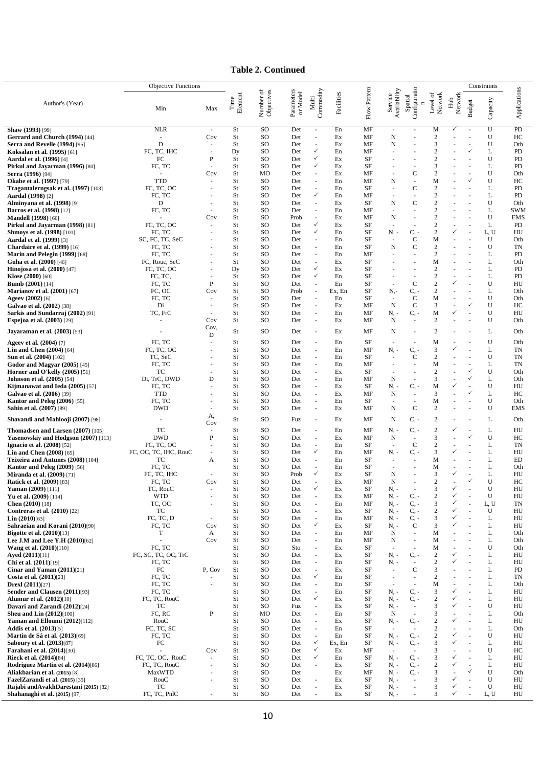**Table 2. Continued**

|                                                                                   | <b>Objective Functions</b>  |               |                       |                         |                        |                                                      |              |                 |                                  |                                         |                                  |                |                                | Constraints |                   |
|-----------------------------------------------------------------------------------|-----------------------------|---------------|-----------------------|-------------------------|------------------------|------------------------------------------------------|--------------|-----------------|----------------------------------|-----------------------------------------|----------------------------------|----------------|--------------------------------|-------------|-------------------|
| Author's (Year)                                                                   | Min                         | Max           | Element<br>$\rm Time$ | Number of<br>Objectives | Parameters<br>or Model | Commodity<br>Multi                                   | Facilities   | Flow Pattern    | Availability<br>Service          | Configuratio<br>Spatial<br>$\mathbf{r}$ | Network<br>ಕ<br>Level            | Network<br>Hub | <b>Budget</b>                  | Capacity    | Applications      |
| Shaw (1993) [99]                                                                  | <b>NLR</b>                  | $\sim$        | St                    | SO                      | Det                    | $\bar{a}$                                            | En           | MF              | $\sim$                           |                                         | M                                | ✓              |                                | U           | PD                |
| Gerrard and Church (1994) [44]<br><b>Serra and Revelle (1994) [95]</b>            | $\sim$<br>D                 | Cov           | St<br>St              | SO<br>SO                | Det<br>Det             | $\overline{\phantom{a}}$<br>$\sim$                   | Ex<br>Ex     | MF<br>MF        | N<br>N                           |                                         | $\boldsymbol{2}$<br>3            |                |                                | U<br>U      | HС<br>Oth         |
| <b>Koksalan et al. (1995)</b> [61]                                                | FC, TC, IHC                 |               | Dy                    | SO                      | Det                    | $\checkmark$                                         | En           | MF              | ä,                               |                                         | $\overline{2}$                   |                | ✓                              | L           | PD                |
| <b>Aardal et al. (1996)</b> [4]                                                   | FC                          | P             | St                    | SO                      | Det                    | $\checkmark$                                         | Ex           | SF              |                                  |                                         | $\overline{2}$                   |                |                                | U           | PD                |
| Pirkul and Jayarman (1996) [80]<br>Serra (1996) [94]                              | FC, TC                      | Cov           | St<br>St              | SO<br>MO                | Det<br>Det             | $\checkmark$<br>$\omega$                             | Ex<br>Ex     | <b>SF</b><br>MF |                                  | $\mathbf C$                             | 3<br>$\overline{2}$              |                |                                | L<br>U      | PD<br>Oth         |
| <b>Okabe et al. (1997)</b> [79]                                                   | <b>TTD</b>                  |               | St                    | SO                      | Det                    | $\overline{\phantom{a}}$                             | En           | MF              | N                                | ä,                                      | M                                |                |                                | U           | HC                |
| Tragantalerngsak et al. (1997) [108]                                              | FC, TC, OC                  |               | St                    | SO                      | Det                    | $\overline{\phantom{a}}$                             | En           | SF              | ÷,                               | $\mathbf C$                             | $\overline{2}$                   |                |                                | L           | PD                |
| <b>Aardal</b> (1998) [2]                                                          | FC, TC                      |               | St                    | SO                      | Det                    | ✓                                                    | En           | MF              |                                  | ä,                                      | $\overline{2}$                   |                |                                | L           | PD                |
| <b>Alminyana et al. (1998)</b> [9]<br><b>Barros et al. (1998)</b> [12]            | D<br>FC, TC                 |               | St<br>St              | SO<br>SO                | Det<br>Det             | $\sim$<br>$\overline{\phantom{a}}$                   | Ex<br>En     | SF<br>MF        | N<br>ä,                          | $\mathbf C$<br>ä,                       | $\overline{2}$<br>$\overline{2}$ |                |                                | U<br>L      | Oth<br><b>SWM</b> |
| <b>Mandell (1998)</b> [66]                                                        |                             | Cov           | St                    | SO                      | Prob                   | $\overline{\phantom{a}}$                             | Ex           | MF              | N                                | $\sim$                                  | $\overline{2}$                   |                |                                | U           | <b>EMS</b>        |
| Pirkul and Jayarman (1998) [81]                                                   | FC, TC, OC                  |               | St                    | SO                      | Det                    | $\checkmark$<br>$\checkmark$                         | Ex           | SF              |                                  |                                         | $\overline{2}$                   | ✓              |                                | L           | PD                |
| <b>Shmoys et al. (1998)</b> [101]<br><b>Aardal et al. (1999)</b> [3]              | FC, TC<br>SC, FC, TC, SeC   |               | St<br>St              | SO<br>SO                | Det<br>Det             | $\overline{\phantom{a}}$                             | En<br>En     | SF<br>SF        | Ν, -<br>$\overline{\phantom{a}}$ | C,<br>C                                 | $\mathbf{2}$<br>M                |                |                                | L, U<br>U   | HU<br>Oth         |
| <b>Chardaire et al. (1999)</b> [16]                                               | FC, TC                      |               | St                    | SO                      | Det                    | $\overline{\phantom{a}}$                             | En           | SF              | N                                | C                                       | $\overline{c}$                   |                |                                | U           | TN                |
| Marin and Pelegin (1999) [68]                                                     | FC, TC                      |               | St                    | SO                      | Det                    | $\overline{\phantom{a}}$                             | En           | MF              | ä,                               |                                         | $\overline{2}$                   |                |                                | L           | PD                |
| Guha et al. (2000) [46]<br><b>Hinojosa et al.</b> $(2000)$ [47]                   | FC, Rouc, SeC<br>FC, TC, OC |               | St<br>Dy              | SO<br>SO                | Det<br>Det             | $\overline{\phantom{a}}$<br>$\checkmark$             | Ex<br>Ex     | SF<br>SF        |                                  |                                         | M<br>$\overline{2}$              |                |                                | L<br>L      | Oth<br>PD         |
| <b>Klose</b> $(2000)$ [60]                                                        | FC, TC,                     |               | St                    | SO                      | Det                    | $\checkmark$                                         | En           | SF              | ÷,                               | $\sim$                                  | $\overline{2}$                   |                |                                | L           | PD                |
| <b>Bumb</b> $(2001)$ [14]                                                         | FC, TC                      | P             | St                    | SO                      | Det                    | $\sim$<br>÷,                                         | En           | SF              |                                  | $\mathbf C$                             | $\overline{2}$                   | ✓              |                                | U<br>L      | HU                |
| <b>Marianov et al. (2001)</b> [67]<br>Ageev (2002) [6]                            | FC, OC<br>FC, TC            | Cov<br>$\sim$ | St<br>St              | SO<br>SO                | Prob<br>Det            | $\sim$                                               | Ex, En<br>En | SF<br>SF        | N.-<br>$\sim$                    | $C, -$<br>C                             | $\overline{2}$<br>M              |                |                                | U           | Oth<br>Oth        |
| Galvao et al. (2002) [38]                                                         | Di                          |               | St                    | SO                      | Det                    | $\sim$                                               | Ex           | MF              | N                                | C                                       | 3                                |                | $\checkmark$                   | U           | HС                |
| Sarkis and Sundarraj (2002) [91]                                                  | TC, FrC                     |               | St                    | SO                      | Det                    | $\sim$                                               | En           | MF<br>MF        | N. -                             | $C, -$<br>ä,                            | M<br>2                           | ✓              |                                | U<br>U      | HU                |
| <b>Espejoa et al. (2003)</b> [29]                                                 |                             | Cov<br>Cov,   | St                    | SO                      | Det                    | $\sim$                                               | Ex           |                 | N                                |                                         |                                  |                |                                |             | Oth               |
| <b>Jayaraman et al.</b> (2003) [53]                                               |                             | D             | St                    | SO                      | Det                    | $\overline{\phantom{a}}$                             | Ex           | MF              | N                                | ÷,                                      | $\overline{2}$                   |                |                                | L           | Oth               |
| <b>Ageev et al. (2004)</b> [7]                                                    | FC, TC<br>FC, TC, OC        |               | St<br>St              | SO<br>SO                | Det<br>Det             | $\sim$<br>$\overline{\phantom{a}}$                   | En<br>En     | SF<br>MF        | N, -                             | C,                                      | M<br>3                           | ✓              |                                | U<br>L      | Oth<br>TN         |
| <b>Lin and Chen <math>(2004)</math></b> [64]<br><b>Sun et al. (2004)</b> [102]    | TC, SeC                     |               | St                    | SO                      | Det                    | $\sim$                                               | En           | SF              |                                  | C                                       | $\overline{2}$                   |                |                                | U           | TN                |
| Godor and Magyar $(2005)$ [45]                                                    | FC, TC                      |               | St                    | SO                      | Det                    | $\sim$                                               | En           | MF              |                                  |                                         | M                                |                |                                | L           | TN                |
| Horner and O'kelly $(2005)$ [51]                                                  | TC                          | D             | St<br>St              | SO<br>SO                | Det<br>Det             | $\overline{\phantom{a}}$<br>$\overline{\phantom{a}}$ | Ex<br>En     | SF<br>MF        | N                                | $\sim$                                  | $\overline{2}$<br>3              |                | ✓<br>$\checkmark$              | U<br>L      | Oth<br>Oth        |
| <b>Johnson et al.</b> (2005) [54]<br>Kijmanawat and Ieda $(2005)$ [57]            | Di, TrC, DWD<br>FC, TC      |               | St                    | SO                      | Det                    | $\sim$                                               | Ex           | SF              | N. -                             | $C, -$                                  | M                                | ✓              |                                | U           | HU                |
| <b>Galvao et al. (2006)</b> [39]                                                  | <b>TTD</b>                  |               | St                    | SO                      | Det                    | $\overline{\phantom{a}}$                             | Ex           | MF              | N                                | $\overline{a}$                          | 3                                |                | $\checkmark$                   | L           | HС                |
| <b>Kantor and Peleg (2006)</b> [55]<br><b>Sahin et al. (2007)</b> [89]            | FC, TC<br><b>DWD</b>        |               | St<br>St              | SO<br>SO                | Det<br>Det             | $\sim$<br>$\sim$                                     | En<br>Ex     | SF<br>MF        | N                                | $\blacksquare$<br>$\mathbf C$           | M<br>$\overline{2}$              |                |                                | U<br>U      | Oth<br><b>EMS</b> |
| Shavandi and Mahlooji (2007) [98]                                                 |                             | А,            | St                    | SO                      | Fuz                    | $\overline{\phantom{a}}$                             | Ex           | MF              | N                                | C, -                                    | $\overline{2}$                   |                |                                | L           | Oth               |
| Thomadsen and Larsen (2007) [105]                                                 | TC                          | Cov<br>÷.     | St                    | SO                      | Det                    | $\omega$                                             | En           | MF              | N. -                             | $C, -$                                  | $\overline{2}$                   | ✓              |                                | L           | HU                |
| Yasenovskiy and Hodgson (2007) [113]                                              | <b>DWD</b>                  | P             | St                    | SO                      | Det                    | $\overline{\phantom{a}}$                             | Ex           | MF              | N                                |                                         | 3                                |                |                                | U           | HC                |
| <b>Ignacio et al. (2008)</b> [52]                                                 | FC, TC, OC                  |               | St                    | SO                      | Det                    | $\overline{\phantom{a}}$                             | En           | SF              | $\sim$                           | $\mathbf C$                             | 2                                |                |                                | L           | TN                |
| <b>Lin and Chen <math>(2008)</math></b> [65]<br>Teixeira and Antunes (2008) [104] | FC, OC, TC, IHC, RouC<br>TC | A             | St<br>St              | SO<br>SO                | Det<br>Det             | $\checkmark$<br>$\overline{\phantom{a}}$             | En<br>En     | MF<br>SF        | N. -                             | C. -                                    | 3<br>M                           |                |                                | L<br>L      | HU<br>ED          |
| Kantor and Peleg (2009) [56]                                                      | FC, TC                      |               | St                    | SO                      | Det                    | $\overline{\phantom{a}}$                             | En           | SF              | ä,                               |                                         | M                                |                |                                | L           | Oth               |
| <b>Miranda et al.</b> (2009) [71]                                                 | FC, TC, IHC                 |               | St                    | SO                      | Prob                   | $\checkmark$                                         | Ex           | SF              | N                                |                                         | 3                                |                |                                | L           | HU                |
| <b>Ratick et al. (2009)</b> [83]                                                  | FC, TC<br>TC, RouC          | Cov           | St<br>St              | SO.<br>SO               | Det<br>Det             | ×.<br>$\checkmark$                                   | Ex<br>Ex     | MF<br>SF        | N<br>N, -                        |                                         | 2<br>3                           | $\checkmark$   | ✓                              | U<br>U      | HC<br>HU          |
| Yaman (2009) [111]<br>Yu et al. (2009) [114]                                      | <b>WTD</b>                  |               | St                    | SO                      | Det                    | $\sim$                                               | Ex           | MF              | $N, -$                           | $C, -$                                  | $\overline{2}$                   | ✓              | ÷,                             | U           | HU                |
| Chen (2010) [18]                                                                  | TC, OC                      |               | St                    | SO                      | Det                    | $\sim$                                               | En           | MF              | $N_{\star}$ -                    | C, -                                    | 3                                | ✓              | ÷,                             | L, U        | TN                |
| <b>Contreras et al. (2010)</b> [22]<br><b>Lin</b> $(2010)[63]$                    | TC<br>FC, TC, D             |               | St<br>St              | SO<br>SO                | Det<br>Det             | $\overline{\phantom{a}}$<br>$\overline{\phantom{a}}$ | Ex<br>En     | SF<br>MF        | $N, -$<br>$N, -$                 | $C, -$<br>$C, -$                        | $\sqrt{2}$<br>3                  | ✓<br>✓         | ÷,<br>÷,                       | U<br>L      | HU<br>HU          |
| Sahraeian and Korani (2010)[90]                                                   | FC, TC                      | Cov           | St                    | SO                      | Det                    | ✓                                                    | Ex           | SF              | $N -$                            | C                                       | 3                                | ✓              |                                | L           | HU                |
| <b>Bigotte et al.</b> (2010)[13]                                                  | T                           | A             | St                    | SO                      | Det                    | $\overline{\phantom{a}}$                             | En           | MF              | N                                | ÷,                                      | M                                |                | ÷,                             | L           | Oth               |
| Lee J.M and Lee Y.H (2010)[62]<br><b>Wang et al.</b> (2010)[110]                  | FC, TC                      | Cov           | St<br>St              | SO<br>SO                | Det<br>Sto             | $\overline{\phantom{a}}$<br>$\overline{\phantom{a}}$ | En<br>Ex     | MF<br>SF        | N<br>÷.                          | $\blacksquare$<br>÷.                    | M<br>M                           | ä,             | ÷,                             | L<br>U      | Oth<br>Oth        |
| Ayed (2011)[11]                                                                   | FC, SC, TC, OC, TrC         |               | St                    | SO                      | Det                    | $\overline{\phantom{a}}$                             | Ex           | SF              | N, -                             | $C, -$                                  | 2                                | ✓              | ÷,                             | L           | HU                |
| Chi et al. (2011)[19]                                                             | FC, TC                      |               | St                    | SO                      | Det                    | $\overline{\phantom{a}}$                             | En           | SF              | $N, -$                           | $\sim$                                  | $\mathbf{2}$<br>3                | ✓              | ÷,                             | L           | HU                |
| Cinar and Yaman (2011)[21]<br>Costa et al. (2011)[23]                             | FC<br>FC, TC                | P, Cov        | St<br>St              | SO<br>SO                | Det<br>Det             | $\overline{\phantom{a}}$<br>$\checkmark$             | Ex<br>En     | SF<br>SF        | ÷.<br>÷,                         | $\mathbf C$<br>÷.                       | 2                                |                | $\overline{a}$                 | L<br>L      | PD<br>TN          |
| <b>Drexl (2011)[27]</b>                                                           | FC, TC                      |               | St                    | SO                      | Det                    | $\overline{\phantom{a}}$                             | En           | SF              | ä,                               | ÷.                                      | M                                | ä,             | $\overline{\phantom{a}}$       | L           | Oth               |
| Sender and Clausen (2011)[93]<br><b>Alumur et al. (2012)</b> [10]                 | FC, TC<br>FC, TC, RouC      |               | St<br>St              | SO<br>SO                | Det<br>Det             | $\omega$<br>$\checkmark$                             | En<br>Ex     | SF<br>SF        | $N, -$<br>$N -$                  | $C, -$<br>$C, -$                        | 3<br>2                           | ✓<br>✓         | ÷,<br>÷,                       | L<br>L      | HU<br>HU          |
| Davari and Zarandi (2012)[24]                                                     | TC                          |               | St                    | SO                      | Fuz                    | $\overline{\phantom{a}}$                             | Ex           | SF              | $N, -$                           | ÷.                                      | 3                                | ✓              | ÷,                             | U           | HU                |
| <b>Sheu and Lin <math>(2012)[100]</math></b>                                      | FC, RC                      | P             | St                    | MO                      | Det                    | $\sim$                                               | En           | SF              | N                                | $\omega$                                | 3                                |                | ÷,                             | L           | Oth               |
| Yaman and Elloumi (2012)[112]<br><b>Addis et al.</b> (2013)[5]                    | RouC<br>FC, TC, SC          |               | St<br>St              | SO<br>SO                | Det<br>Det             | $\overline{\phantom{a}}$<br>$\overline{\phantom{a}}$ | Ex<br>En     | SF<br>SF        | $N, -$                           | $C, -$                                  | $\mathbf{2}$<br>$\sqrt{2}$       | ✓              | $\overline{\phantom{a}}$<br>÷, | L<br>L      | HU<br>Oth         |
| <b>Martin de Sá et al. (2013)</b> [69]                                            | FC, TC                      |               | St                    | SO                      | Det                    | $\sim$                                               | En           | SF              | $N, -$                           | $C, -$                                  | $\mathbf{2}$                     | ✓              | ÷.                             | U           | HU                |
| <b>Saboury et al. (2013)</b> [87]                                                 | FC                          |               | St                    | SO                      | Det                    | $\checkmark$                                         | Ex, En       | SF              | $N, -$                           | $C, -$                                  | 3                                | ✓              | $\overline{\phantom{a}}$       | L           | HU                |
| <b>Farahani et al. (2014)[30]</b><br><b>Rieck et al.</b> (2014)[84]               | FC, TC, OC, RouC            | Cov<br>$\sim$ | St<br>St              | SO<br>SO                | Det<br>Det             | $\checkmark$<br>✓                                    | Ex<br>En     | MF<br>SF        | ÷.<br>$N, -$                     | $C, -$                                  | 3<br>3                           | ✓              | ÷,<br>÷.                       | U<br>L      | HC<br>HU          |
| Rodriguez Martin et al. (2014)[86]                                                | FC, TC, RouC                |               | St                    | SO                      | Det                    | $\sim$                                               | Ex           | SF              | $N -$                            | $C, -$                                  | $\mathbf{2}$                     | ✓              |                                | L           | HU                |
| Aliakbarian et al. (2015) [8]                                                     | MaxWTD                      |               | St                    | SO                      | Det                    |                                                      | Ex           | MF              | $N, -$                           | $C, -$                                  | 3                                | ✓              | $\checkmark$                   | U           | Oth               |
| FazelZarandi et al. (2015) [35]<br>Rajabi andAvakhDarestani (2015) [82]           | RouC<br>TC                  | $\sim$        | St<br>St              | SO<br>SO                | Det<br>Det             | $\sim$<br>$\sim$                                     | Ex<br>Ex     | SF<br>SF        | $N, -$<br>$N, -$                 | $\sim$<br>ä,                            | 3<br>3                           | ✓              | ÷,<br>÷,                       | U<br>U      | HU<br>HU          |
| <b>Shahanaghi et al.</b> (2015) [97]                                              | FC, TC, PnlC                | $\sim$        | St                    | SO                      | Det                    | $\sim$                                               | Ex           | SF              | $N, -$                           | ÷,                                      | 3                                | ✓              | ÷,                             | L, U        | HU                |

L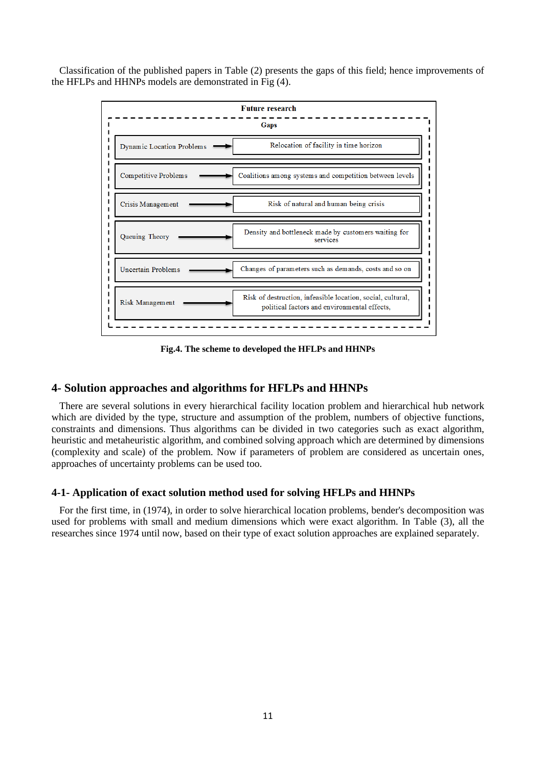Classification of the published papers in Table (2) presents the gaps of this field; hence improvements of the HFLPs and HHNPs models are demonstrated in Fig (4).



**Fig.4. The scheme to developed the HFLPs and HHNPs** 

# **4- Solution approaches and algorithms for HFLPs and HHNPs**

There are several solutions in every hierarchical facility location problem and hierarchical hub network which are divided by the type, structure and assumption of the problem, numbers of objective functions, constraints and dimensions. Thus algorithms can be divided in two categories such as exact algorithm, heuristic and metaheuristic algorithm, and combined solving approach which are determined by dimensions (complexity and scale) of the problem. Now if parameters of problem are considered as uncertain ones, approaches of uncertainty problems can be used too.

# **4-1- Application of exact solution method used for solving HFLPs and HHNPs**

For the first time, in (1974), in order to solve hierarchical location problems, bender's decomposition was used for problems with small and medium dimensions which were exact algorithm. In Table (3), all the researches since 1974 until now, based on their type of exact solution approaches are explained separately.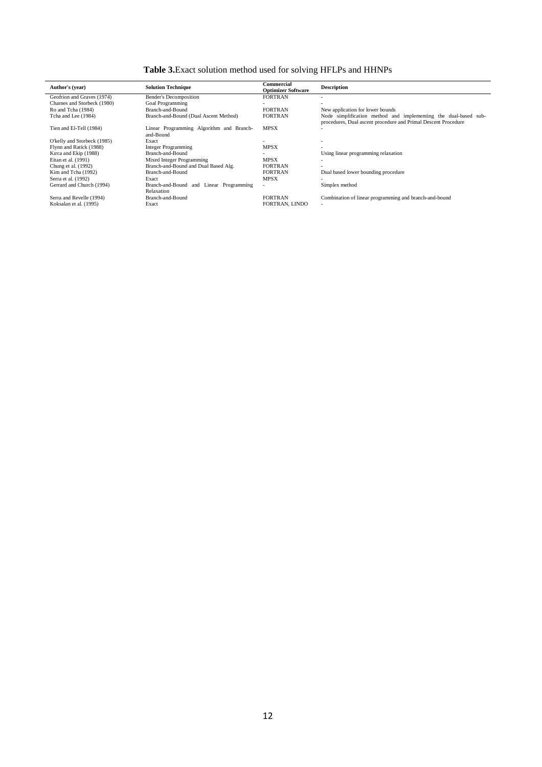**Table 3.**Exact solution method used for solving HFLPs and HHNPs

| Author's (year)             | <b>Solution Technique</b>                             | Commercial<br><b>Optimizer Software</b> | <b>Description</b>                                                                                                                |
|-----------------------------|-------------------------------------------------------|-----------------------------------------|-----------------------------------------------------------------------------------------------------------------------------------|
| Geofrion and Graves (1974)  | <b>Bender's Decomposition</b>                         | <b>FORTRAN</b>                          |                                                                                                                                   |
| Charnes and Storbeck (1980) | <b>Goal Programming</b>                               |                                         |                                                                                                                                   |
| Ro and Tcha (1984)          | Branch-and-Bound                                      | <b>FORTRAN</b>                          | New application for lower bounds                                                                                                  |
| Tcha and Lee (1984)         | Branch-and-Bound (Dual Ascent Method)                 | <b>FORTRAN</b>                          | Node simplification method and implementing the dual-based sub-<br>procedures, Dual ascent procedure and Primal Descent Procedure |
| Tien and El-Tell (1984)     | Linear Programming Algorithm and Branch-<br>and-Bound | <b>MPSX</b>                             |                                                                                                                                   |
| O'kelly and Storbeck (1985) | Exact                                                 |                                         |                                                                                                                                   |
| Flynn and Ratick (1988)     | Integer Programming                                   | <b>MPSX</b>                             |                                                                                                                                   |
| Kırca and Ekip (1988)       | Branch-and-Bound                                      |                                         | Using linear programming relaxation                                                                                               |
| Eitan et al. (1991)         | Mixed Integer Programming                             | <b>MPSX</b>                             |                                                                                                                                   |
| Chung et al. (1992)         | Branch-and-Bound and Dual Based Alg.                  | <b>FORTRAN</b>                          |                                                                                                                                   |
| Kim and Tcha (1992)         | Branch-and-Bound                                      | <b>FORTRAN</b>                          | Dual based lower bounding procedure                                                                                               |
| Serra et al. (1992)         | Exact                                                 | <b>MPSX</b>                             |                                                                                                                                   |
| Gerrard and Church (1994)   | Branch-and-Bound and Linear Programming<br>Relaxation | $\overline{\phantom{a}}$                | Simplex method                                                                                                                    |
| Serra and Revelle (1994)    | Branch-and-Bound                                      | <b>FORTRAN</b>                          | Combination of linear programming and branch-and-bound                                                                            |
| Koksalan et al. (1995)      | Exact                                                 | FORTRAN, LINDO                          |                                                                                                                                   |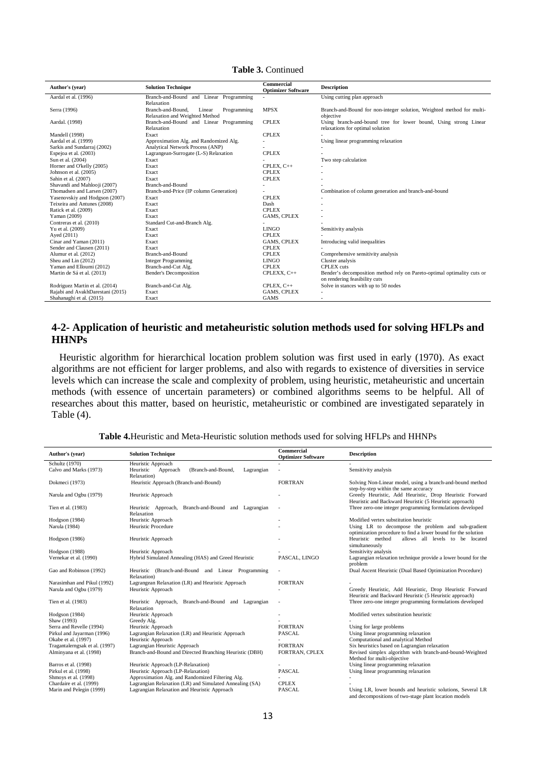| Author's (year)                  | <b>Solution Technique</b>                  | Commercial<br><b>Optimizer Software</b> | <b>Description</b>                                                      |
|----------------------------------|--------------------------------------------|-----------------------------------------|-------------------------------------------------------------------------|
| Aardal et al. (1996)             | Branch-and-Bound and Linear Programming    |                                         | Using cutting plan approach                                             |
|                                  | Relaxation                                 |                                         |                                                                         |
| Serra (1996)                     | Branch-and-Bound.<br>Linear<br>Programming | <b>MPSX</b>                             | Branch-and-Bound for non-integer solution, Weighted method for multi-   |
|                                  | Relaxation and Weighted Method             |                                         | objective                                                               |
| Aardal. (1998)                   | Branch-and-Bound and Linear Programming    | <b>CPLEX</b>                            | Using branch-and-bound tree for lower bound, Using strong Linear        |
|                                  | Relaxation                                 |                                         | relaxations for optimal solution                                        |
| Mandell (1998)                   | Exact                                      | <b>CPLEX</b>                            |                                                                         |
| Aardal et al. (1999)             | Approximation Alg. and Randomized Alg.     |                                         | Using linear programming relaxation                                     |
| Sarkis and Sundarraj (2002)      | <b>Analytical Network Process (ANP)</b>    |                                         |                                                                         |
| Espejoa et al. (2003)            | Lagrangean-Surrogate (L-S) Relaxation      | <b>CPLEX</b>                            |                                                                         |
| Sun et al. (2004)                | Exact                                      |                                         | Two step calculation                                                    |
| Horner and O'kelly (2005)        | Exact                                      | CPLEX. $C++$                            |                                                                         |
| Johnson et al. (2005)            | Exact                                      | <b>CPLEX</b>                            |                                                                         |
| Sahin et al. (2007)              | Exact                                      | <b>CPLEX</b>                            |                                                                         |
| Shavandi and Mahlooji (2007)     | Branch-and-Bound                           |                                         |                                                                         |
| Thomadsen and Larsen (2007)      | Branch-and-Price (IP column Generation)    |                                         | Combination of column generation and branch-and-bound                   |
| Yasenovskiy and Hodgson (2007)   | Exact                                      | <b>CPLEX</b>                            |                                                                         |
| Teixeira and Antunes (2008)      | Exact                                      | Dash                                    |                                                                         |
| Ratick et al. (2009)             | Exact                                      | <b>CPLEX</b>                            |                                                                         |
| Yaman (2009)                     | Exact                                      | <b>GAMS, CPLEX</b>                      |                                                                         |
| Contreras et al. (2010)          | Standard Cut-and-Branch Alg.               |                                         |                                                                         |
| Yu et al. (2009)                 | Exact                                      | <b>LINGO</b>                            | Sensitivity analysis                                                    |
| Ayed (2011)                      | Exact                                      | <b>CPLEX</b>                            |                                                                         |
| Cinar and Yaman (2011)           | Exact                                      | <b>GAMS, CPLEX</b>                      | Introducing valid inequalities                                          |
| Sender and Clausen (2011)        | Exact                                      | <b>CPLEX</b>                            |                                                                         |
| Alumur et al. (2012)             | Branch-and-Bound                           | <b>CPLEX</b>                            | Comprehensive sensitivity analysis                                      |
| Sheu and Lin (2012)              | <b>Integer Programming</b>                 | <b>LINGO</b>                            | Cluster analysis                                                        |
| Yaman and Elloumi (2012)         | Branch-and-Cut Alg.                        | <b>CPLEX</b>                            | <b>CPLEX</b> cuts                                                       |
| Martin de Sá et al. (2013)       | <b>Bender's Decomposition</b>              | CPLEXX, C++                             | Bender's decomposition method rely on Pareto-optimal optimality cuts or |
|                                  |                                            |                                         | on rendering feasibility cuts                                           |
| Rodriguez Martin et al. (2014)   | Branch-and-Cut Alg.                        | CPLEX, C++                              | Solve in stances with up to 50 nodes                                    |
| Rajabi and AvakhDarestani (2015) | Exact                                      | <b>GAMS, CPLEX</b>                      |                                                                         |
| Shahanaghi et al. (2015)         | Exact                                      | <b>GAMS</b>                             | ۰                                                                       |

**Table 3.** Continued

# **4-2- Application of heuristic and metaheuristic solution methods used for solving HFLPs and HHNPs**

Heuristic algorithm for hierarchical location problem solution was first used in early (1970). As exact algorithms are not efficient for larger problems, and also with regards to existence of diversities in service levels which can increase the scale and complexity of problem, using heuristic, metaheuristic and uncertain methods (with essence of uncertain parameters) or combined algorithms seems to be helpful. All of researches about this matter, based on heuristic, metaheuristic or combined are investigated separately in Table (4).

| Author's (year)                | <b>Solution Technique</b>                                                | Commercial<br><b>Optimizer Software</b> | <b>Description</b>                                                                                                 |
|--------------------------------|--------------------------------------------------------------------------|-----------------------------------------|--------------------------------------------------------------------------------------------------------------------|
| Schultz (1970)                 | Heuristic Approach                                                       |                                         |                                                                                                                    |
| Calvo and Marks (1973)         | (Branch-and-Bound,<br>Heuristic<br>Approach<br>Lagrangian<br>Relaxation) |                                         | Sensitivity analysis                                                                                               |
| Dokmeci (1973)                 | Heuristic Approach (Branch-and-Bound)                                    | <b>FORTRAN</b>                          | Solving Non-Linear model, using a branch-and-bound method<br>step-by-step within the same accuracy                 |
| Narula and Ogbu (1979)         | Heuristic Approach                                                       |                                         | Greedy Heuristic, Add Heuristic, Drop Heuristic Forward<br>Heuristic and Backward Heuristic (5 Heuristic approach) |
| Tien et al. (1983)             | Heuristic Approach, Branch-and-Bound and Lagrangian<br>Relaxation        |                                         | Three zero-one integer programming formulations developed                                                          |
| Hodgson (1984)                 | Heuristic Approach                                                       |                                         | Modified vertex substitution heuristic                                                                             |
| Narula (1984)                  | <b>Heuristic Procedure</b>                                               |                                         | Using LR to decompose the problem and sub-gradient                                                                 |
|                                |                                                                          |                                         | optimization procedure to find a lower bound for the solution                                                      |
| Hodgson (1986)                 | Heuristic Approach                                                       |                                         | Heuristic method<br>allows all levels to be located<br>simultaneously                                              |
| Hodgson (1988)                 | Heuristic Approach                                                       |                                         | Sensitivity analysis                                                                                               |
| Vernekar et al. (1990)         | Hybrid Simulated Annealing (HAS) and Greed Heuristic                     | PASCAL, LINGO                           | Lagrangian relaxation technique provide a lower bound for the<br>problem                                           |
| Gao and Robinson (1992)        | Heuristic (Branch-and-Bound and Linear Programming<br>Relaxation)        |                                         | Dual Ascent Heuristic (Dual Based Optimization Procedure)                                                          |
| Narasimhan and Pikul (1992)    | Lagrangean Relaxation (LR) and Heuristic Approach                        | <b>FORTRAN</b>                          |                                                                                                                    |
| Narula and Ogbu (1979)         | Heuristic Approach                                                       |                                         | Greedy Heuristic, Add Heuristic, Drop Heuristic Forward                                                            |
|                                |                                                                          |                                         | Heuristic and Backward Heuristic (5 Heuristic approach)                                                            |
| Tien et al. (1983)             | Heuristic Approach, Branch-and-Bound and Lagrangian<br>Relaxation        |                                         | Three zero-one integer programming formulations developed                                                          |
| Hodgson (1984)                 | Heuristic Approach                                                       |                                         | Modified vertex substitution heuristic                                                                             |
| Shaw (1993)                    | Greedy Alg.                                                              |                                         |                                                                                                                    |
| Serra and Revelle (1994)       | Heuristic Approach                                                       | <b>FORTRAN</b>                          | Using for large problems                                                                                           |
| Pirkul and Jayarman (1996)     | Lagrangian Relaxation (LR) and Heuristic Approach                        | <b>PASCAL</b>                           | Using linear programming relaxation                                                                                |
| Okabe et al. (1997)            | Heuristic Approach                                                       |                                         | Computational and analytical Method                                                                                |
| Tragantalerngsak et al. (1997) | Lagrangian Heuristic Approach                                            | <b>FORTRAN</b>                          | Six heuristics based on Lagrangian relaxation                                                                      |
| Alminyana et al. (1998)        | Branch-and-Bound and Directed Branching Heuristic (DBH)                  | FORTRAN, CPLEX                          | Revised simplex algorithm with branch-and-bound-Weighted                                                           |
|                                |                                                                          |                                         | Method for multi-objective                                                                                         |
| Barros et al. (1998)           | Heuristic Approach (LP-Relaxation)                                       |                                         | Using linear programming relaxation                                                                                |
| Pirkul et al. (1998)           | Heuristic Approach (LP-Relaxation)                                       | <b>PASCAL</b>                           | Using linear programming relaxation                                                                                |
| Shmoys et al. (1998)           | Approximation Alg. and Randomized Filtering Alg.                         |                                         |                                                                                                                    |
| Chardaire et al. (1999)        | Lagrangian Relaxation (LR) and Simulated Annealing (SA)                  | <b>CPLEX</b>                            |                                                                                                                    |
| Marin and Pelegin (1999)       | Lagrangian Relaxation and Heuristic Approach                             | PASCAL                                  | Using LR, lower bounds and heuristic solutions, Several LR                                                         |
|                                |                                                                          |                                         | and decompositions of two-stage plant location models                                                              |

**Table 4.**Heuristic and Meta-Heuristic solution methods used for solving HFLPs and HHNPs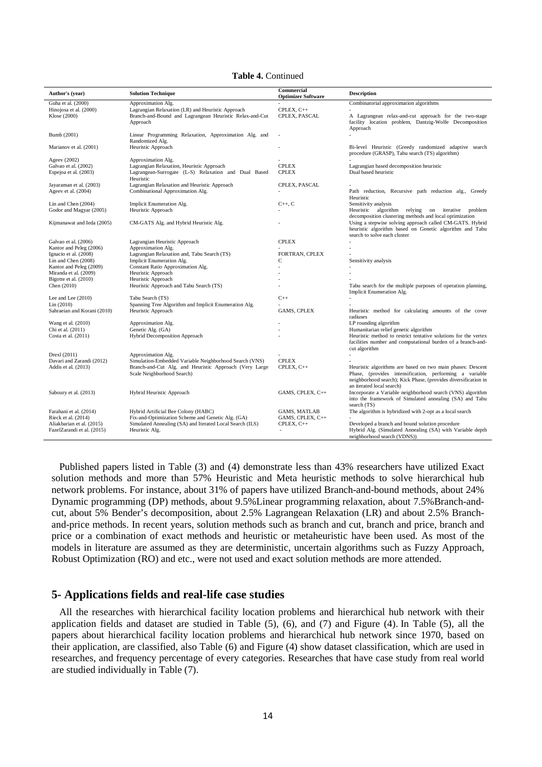**Table 4.** Continued

| Author's (year)             | <b>Solution Technique</b>                                                            | Commercial<br><b>Optimizer Software</b> | <b>Description</b>                                                                                                                                                                                                   |
|-----------------------------|--------------------------------------------------------------------------------------|-----------------------------------------|----------------------------------------------------------------------------------------------------------------------------------------------------------------------------------------------------------------------|
| Guha et al. (2000)          | Approximation Alg.                                                                   |                                         | Combinatorial approximation algorithms                                                                                                                                                                               |
| Hinojosa et al. (2000)      | Lagrangian Relaxation (LR) and Heuristic Approach                                    | CPLEX, C++                              |                                                                                                                                                                                                                      |
| Klose (2000)                | Branch-and-Bound and Lagrangean Heuristic Relax-and-Cut                              | CPLEX, PASCAL                           | A Lagrangean relax-and-cut approach for the two-stage                                                                                                                                                                |
|                             | Approach                                                                             |                                         | facility location problem, Dantzig-Wolfe Decomposition<br>Approach                                                                                                                                                   |
| Bumb (2001)                 | Linear Programming Relaxation, Approximation Alg. and<br>Randomized Alg.             |                                         |                                                                                                                                                                                                                      |
| Marianov et al. (2001)      | Heuristic Approach                                                                   |                                         | Bi-level Heuristic (Greedy randomized adaptive search<br>procedure (GRASP), Tabu search (TS) algorithm)                                                                                                              |
| Ageev (2002)                | Approximation Alg.                                                                   |                                         |                                                                                                                                                                                                                      |
| Galvao et al. (2002)        | Lagrangian Relaxation, Heuristic Approach                                            | <b>CPLEX</b>                            | Lagrangian based decomposition heuristic                                                                                                                                                                             |
| Espejoa et al. (2003)       | Lagrangean-Surrogate (L-S) Relaxation and Dual Based<br>Heuristic                    | <b>CPLEX</b>                            | Dual based heuristic                                                                                                                                                                                                 |
| Jayaraman et al. (2003)     | Lagrangian Relaxation and Heuristic Approach                                         | CPLEX, PASCAL                           |                                                                                                                                                                                                                      |
| Ageev et al. (2004)         | Combinational Approximation Alg.                                                     |                                         | Path reduction, Recursive path reduction alg., Greedy<br>Heuristic                                                                                                                                                   |
| Lin and Chen (2004)         | Implicit Enumeration Alg.                                                            | $C_{++}$ , $C_{-}$                      | Sensitivity analysis                                                                                                                                                                                                 |
| Godor and Magyar (2005)     | Heuristic Approach                                                                   |                                         | Heuristic algorithm relying on iterative problem                                                                                                                                                                     |
|                             |                                                                                      |                                         | decomposition clustering methods and local optimization                                                                                                                                                              |
| Kijmanawat and Ieda (2005)  | CM-GATS Alg. and Hybrid Heuristic Alg.                                               |                                         | Using a stepwise solving approach called CM-GATS. Hybrid<br>heuristic algorithm based on Genetic algorithm and Tabu                                                                                                  |
|                             |                                                                                      |                                         | search to solve each cluster                                                                                                                                                                                         |
| Galvao et al. (2006)        | Lagrangian Heuristic Approach                                                        | <b>CPLEX</b>                            |                                                                                                                                                                                                                      |
| Kantor and Peleg (2006)     | Approximation Alg.                                                                   |                                         |                                                                                                                                                                                                                      |
| Ignacio et al. (2008)       | Lagrangian Relaxation and, Tabu Search (TS)                                          | FORTRAN, CPLEX                          |                                                                                                                                                                                                                      |
| Lin and Chen (2008)         | Implicit Enumeration Alg.                                                            | С                                       | Sensitivity analysis                                                                                                                                                                                                 |
| Kantor and Peleg (2009)     | Constant Ratio Approximation Alg.                                                    | ÷,                                      |                                                                                                                                                                                                                      |
| Miranda et al. (2009)       | Heuristic Approach                                                                   |                                         |                                                                                                                                                                                                                      |
| Bigotte et al. (2010)       | Heuristic Approach                                                                   |                                         |                                                                                                                                                                                                                      |
| Chen (2010)                 | Heuristic Approach and Tabu Search (TS)                                              |                                         | Tabu search for the multiple purposes of operation planning,<br>Implicit Enumeration Alg.                                                                                                                            |
| Lee and Lee $(2010)$        | Tabu Search (TS)                                                                     | $C++$                                   |                                                                                                                                                                                                                      |
| Lin (2010)                  | Spanning Tree Algorithm and Implicit Enumeration Alg.                                |                                         |                                                                                                                                                                                                                      |
| Sahraeian and Korani (2010) | Heuristic Approach                                                                   | <b>GAMS, CPLEX</b>                      | Heuristic method for calculating amounts of the cover<br>radiuses                                                                                                                                                    |
| Wang et al. (2010)          | Approximation Alg.                                                                   |                                         | LP rounding algorithm                                                                                                                                                                                                |
| Chi et al. (2011)           | Genetic Alg. (GA)                                                                    |                                         | Humanitarian relief genetic algorithm                                                                                                                                                                                |
| Costa et al. (2011)         | Hybrid Decomposition Approach                                                        |                                         | Heuristic method to restrict tentative solutions for the vertex<br>facilities number and computational burden of a branch-and-                                                                                       |
|                             |                                                                                      |                                         | cut algorithm                                                                                                                                                                                                        |
| Drexl (2011)                | Approximation Alg.                                                                   |                                         |                                                                                                                                                                                                                      |
| Davari and Zarandi (2012)   | Simulation-Embedded Variable Neighborhood Search (VNS)                               | <b>CPLEX</b>                            |                                                                                                                                                                                                                      |
| Addis et al. (2013)         | Branch-and-Cut Alg. and Heuristic Approach (Very Large<br>Scale Neighborhood Search) | CPLEX, C++                              | Heuristic algorithms are based on two main phases: Descent<br>Phase, (provides intensification, performing a variable<br>neighborhood search); Kick Phase, (provides diversification in<br>an iterated local search) |
| Saboury et al. (2013)       | Hybrid Heuristic Approach                                                            | GAMS, CPLEX, C++                        | Incorporate a Variable neighborhood search (VNS) algorithm<br>into the framework of Simulated annealing (SA) and Tabu<br>search (TS)                                                                                 |
| Farahani et al. (2014)      | Hybrid Artificial Bee Colony (HABC)                                                  | <b>GAMS, MATLAB</b>                     | The algorithm is hybridized with 2-opt as a local search                                                                                                                                                             |
| Rieck et al. (2014)         | Fix-and-Optimization Scheme and Genetic Alg. (GA)                                    | GAMS, CPLEX, C++                        |                                                                                                                                                                                                                      |
| Aliakbarian et al. (2015)   | Simulated Annealing (SA) and Iterated Local Search (ILS)                             | CPLEX, C++                              | Developed a branch and bound solution procedure                                                                                                                                                                      |
| FazelZarandi et al. (2015)  | Heuristic Alg.                                                                       |                                         | Hybrid Alg. (Simulated Annealing (SA) with Variable depth<br>neighborhood search (VDNS))                                                                                                                             |

Published papers listed in Table (3) and (4) demonstrate less than 43% researchers have utilized Exact solution methods and more than 57% Heuristic and Meta heuristic methods to solve hierarchical hub network problems. For instance, about 31% of papers have utilized Branch-and-bound methods, about 24% Dynamic programming (DP) methods, about 9.5%Linear programming relaxation, about 7.5%Branch-andcut, about 5% Bender's decomposition, about 2.5% Lagrangean Relaxation (LR) and about 2.5% Branchand-price methods. In recent years, solution methods such as branch and cut, branch and price, branch and price or a combination of exact methods and heuristic or metaheuristic have been used. As most of the models in literature are assumed as they are deterministic, uncertain algorithms such as Fuzzy Approach, Robust Optimization (RO) and etc., were not used and exact solution methods are more attended.

# **5- Applications fields and real-life case studies**

All the researches with hierarchical facility location problems and hierarchical hub network with their application fields and dataset are studied in Table (5), (6), and (7) and Figure (4). In Table (5), all the papers about hierarchical facility location problems and hierarchical hub network since 1970, based on their application, are classified, also Table (6) and Figure (4) show dataset classification, which are used in researches, and frequency percentage of every categories. Researches that have case study from real world are studied individually in Table (7).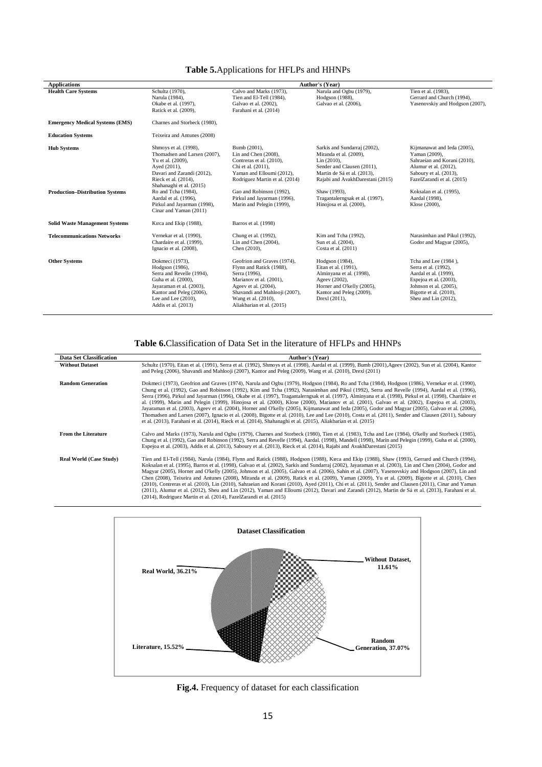# **Table 5.**Applications for HFLPs and HHNPs

| <b>Applications</b>                                          | Author's (Year)                                                                                                                                                                                                                                                                       |                                                                                                                                                                                                                                               |                                                                                                                                                                                                                                                      |                                                                                                                                                                                                                             |  |  |  |
|--------------------------------------------------------------|---------------------------------------------------------------------------------------------------------------------------------------------------------------------------------------------------------------------------------------------------------------------------------------|-----------------------------------------------------------------------------------------------------------------------------------------------------------------------------------------------------------------------------------------------|------------------------------------------------------------------------------------------------------------------------------------------------------------------------------------------------------------------------------------------------------|-----------------------------------------------------------------------------------------------------------------------------------------------------------------------------------------------------------------------------|--|--|--|
| <b>Health Care Systems</b>                                   | Schultz (1970),<br>Narula (1984),<br>Okabe et al. (1997).<br>Ratick et al. (2009),                                                                                                                                                                                                    | Calvo and Marks (1973),<br>Tien and El-Tell (1984),<br>Galvao et al. (2002),<br>Farahani et al. (2014)                                                                                                                                        | Narula and Ogbu (1979),<br>Hodgson (1988),<br>Galvao et al. (2006),                                                                                                                                                                                  | Tien et al. (1983),<br>Gerrard and Church (1994),<br>Yasenovskiy and Hodgson (2007),                                                                                                                                        |  |  |  |
| <b>Emergency Medical Systems (EMS)</b>                       | Charnes and Storbeck (1980),                                                                                                                                                                                                                                                          |                                                                                                                                                                                                                                               |                                                                                                                                                                                                                                                      |                                                                                                                                                                                                                             |  |  |  |
| <b>Education Systems</b>                                     | Teixeira and Antunes (2008)                                                                                                                                                                                                                                                           |                                                                                                                                                                                                                                               |                                                                                                                                                                                                                                                      |                                                                                                                                                                                                                             |  |  |  |
| <b>Hub Systems</b><br><b>Production-Distribution Systems</b> | Shmoys et al. (1998),<br>Thomadsen and Larsen (2007),<br>Yu et al. (2009),<br>Ayed (2011),<br>Davari and Zarandi (2012),<br>Rieck et al. (2014),<br>Shahanaghi et al. (2015)<br>Ro and Tcha (1984),<br>Aardal et al. (1996),<br>Pirkul and Jayarman (1998),<br>Cinar and Yaman (2011) | Bumb (2001),<br>Lin and Chen (2008),<br>Contreras et al. (2010),<br>Chi et al. (2011),<br>Yaman and Elloumi (2012),<br>Rodriguez Martin et al. (2014)<br>Gao and Robinson (1992),<br>Pirkul and Jayarman (1996),<br>Marin and Pelegin (1999), | Sarkis and Sundarraj (2002),<br>Miranda et al. (2009),<br>Lin (2010),<br>Sender and Clausen (2011),<br>Martin de Sá et al. (2013),<br>Rajabi and AvakhDarestani (2015)<br>Shaw (1993).<br>Tragantalerngsak et al. (1997),<br>Hinojosa et al. (2000), | Kijmanawat and Ieda (2005),<br>Yaman (2009),<br>Sahraeian and Korani (2010),<br>Alumur et al. (2012),<br>Saboury et al. (2013),<br>FazelZarandi et al. (2015)<br>Koksalan et al. (1995),<br>Aardal (1998),<br>Klose (2000), |  |  |  |
| <b>Solid Waste Management Systems</b>                        | Kırca and Ekip (1988),                                                                                                                                                                                                                                                                | Barros et al. (1998)                                                                                                                                                                                                                          |                                                                                                                                                                                                                                                      |                                                                                                                                                                                                                             |  |  |  |
| <b>Telecommunications Networks</b>                           | Vernekar et al. (1990),<br>Chardaire et al. (1999),<br>Ignacio et al. (2008),                                                                                                                                                                                                         | Chung et al. (1992),<br>Lin and Chen (2004),<br>Chen (2010),                                                                                                                                                                                  | Kim and Tcha (1992),<br>Sun et al. (2004),<br>Costa et al. (2011)                                                                                                                                                                                    | Narasimhan and Pikul (1992),<br>Godor and Magyar (2005),                                                                                                                                                                    |  |  |  |
| <b>Other Systems</b>                                         | Dokmeci (1973),<br>Hodgson (1986),<br>Serra and Revelle (1994).<br>Guha et al. (2000),<br>Jayaraman et al. (2003),<br>Kantor and Peleg (2006),<br>Lee and Lee $(2010)$ ,<br>Addis et al. (2013)                                                                                       | Geofrion and Graves (1974),<br>Flynn and Ratick (1988),<br>Serra (1996).<br>Marianov et al. (2001),<br>Ageev et al. (2004),<br>Shavandi and Mahlooji (2007),<br>Wang et al. (2010),<br>Aliakbarian et al. (2015)                              | Hodgson (1984),<br>Eitan et al. (1991),<br>Alminyana et al. (1998),<br>Ageev (2002),<br>Horner and O'kelly (2005),<br>Kantor and Peleg (2009),<br>Drexl (2011),                                                                                      | Tcha and Lee (1984),<br>Serra et al. (1992),<br>Aardal et al. (1999).<br>Espejoa et al. (2003),<br>Johnson et al. (2005),<br>Bigotte et al. (2010),<br>Sheu and Lin (2012),                                                 |  |  |  |

# **Table 6.**Classification of Data Set in the literature of HFLPs and HHNPs

| <b>Data Set Classification</b> | <b>Author's (Year)</b>                                                                                                                                                                                                                                                                                                                                                                                                                                                                                                                                                                                                                                                                                                                                                                                                                                                                                                                                                                                                                                   |
|--------------------------------|----------------------------------------------------------------------------------------------------------------------------------------------------------------------------------------------------------------------------------------------------------------------------------------------------------------------------------------------------------------------------------------------------------------------------------------------------------------------------------------------------------------------------------------------------------------------------------------------------------------------------------------------------------------------------------------------------------------------------------------------------------------------------------------------------------------------------------------------------------------------------------------------------------------------------------------------------------------------------------------------------------------------------------------------------------|
| <b>Without Dataset</b>         | Schultz (1970), Eitan et al. (1991), Serra et al. (1992), Shmoys et al. (1998), Aardal et al. (1999), Bumb (2001), Ageev (2002), Sun et al. (2004), Kantor<br>and Peleg (2006), Shavandi and Mahlooji (2007), Kantor and Peleg (2009), Wang et al. (2010), Drexl (2011)                                                                                                                                                                                                                                                                                                                                                                                                                                                                                                                                                                                                                                                                                                                                                                                  |
| <b>Random Generation</b>       | Dokmeci (1973), Geofrion and Graves (1974), Narula and Ogbu (1979), Hodgson (1984), Ro and Tcha (1984), Hodgson (1986), Vernekar et al. (1990),<br>Chung et al. (1992), Gao and Robinson (1992), Kim and Tcha (1992), Narasimhan and Pikul (1992), Serra and Revelle (1994), Aardal et al. (1996),<br>Serra (1996), Pirkul and Jayarman (1996), Okabe et al. (1997), Tragantalerngsak et al. (1997), Alminyana et al. (1998), Pirkul et al. (1998), Chardaire et<br>al. (1999), Marin and Pelegin (1999), Hinojosa et al. (2000), Klose (2000), Marianov et al. (2001), Galvao et al. (2002), Espejoa et al. (2003),<br>Jayaraman et al. (2003), Ageev et al. (2004), Horner and O'kelly (2005), Kijmanawat and Ieda (2005), Godor and Magyar (2005), Galvao et al. (2006),<br>Thomadsen and Larsen (2007), Ignacio et al. (2008), Bigotte et al. (2010), Lee and Lee (2010), Costa et al. (2011), Sender and Clausen (2011), Saboury<br>et al. (2013), Farahani et al. (2014), Rieck et al. (2014), Shahanaghi et al. (2015), Aliakbarian et al. (2015) |
| <b>From the Literature</b>     | Calvo and Marks (1973), Narula and Ogbu (1979), Charnes and Storbeck (1980), Tien et al. (1983), Tcha and Lee (1984), O'kelly and Storbeck (1985),<br>Chung et al. (1992), Gao and Robinson (1992), Serra and Revelle (1994), Aardal. (1998), Mandell (1998), Marin and Pelegin (1999), Guha et al. (2000),<br>Espejoa et al. (2003), Addis et al. (2013), Saboury et al. (2013), Rieck et al. (2014), Rajabi and AvakhDarestani (2015)                                                                                                                                                                                                                                                                                                                                                                                                                                                                                                                                                                                                                  |
| <b>Real World (Case Study)</b> | Tien and El-Tell (1984), Narula (1984), Flynn and Ratick (1988), Hodgson (1988), Kırca and Ekip (1988), Shaw (1993), Gerrard and Church (1994),<br>Koksalan et al. (1995), Barros et al. (1998), Galvao et al. (2002), Sarkis and Sundarraj (2002), Jayaraman et al. (2003), Lin and Chen (2004), Godor and<br>Magyar (2005), Horner and O'kelly (2005), Johnson et al. (2005), Galvao et al. (2006), Sahin et al. (2007), Yasenovskiy and Hodgson (2007), Lin and<br>Chen (2008), Teixeira and Antunes (2008), Miranda et al. (2009), Ratick et al. (2009), Yaman (2009), Yu et al. (2009), Bigotte et al. (2010), Chen<br>(2010), Contreras et al. (2010), Lin (2010), Sahraeian and Korani (2010), Ayed (2011), Chi et al. (2011), Sender and Clausen (2011), Cinar and Yaman<br>(2011), Alumur et al. (2012), Sheu and Lin (2012), Yaman and Elloumi (2012), Davari and Zarandi (2012), Martin de Sá et al. (2013), Farahani et al.<br>(2014), Rodriguez Martin et al. (2014), FazelZarandi et al. (2015)                                            |



**Fig.4.** Frequency of dataset for each classification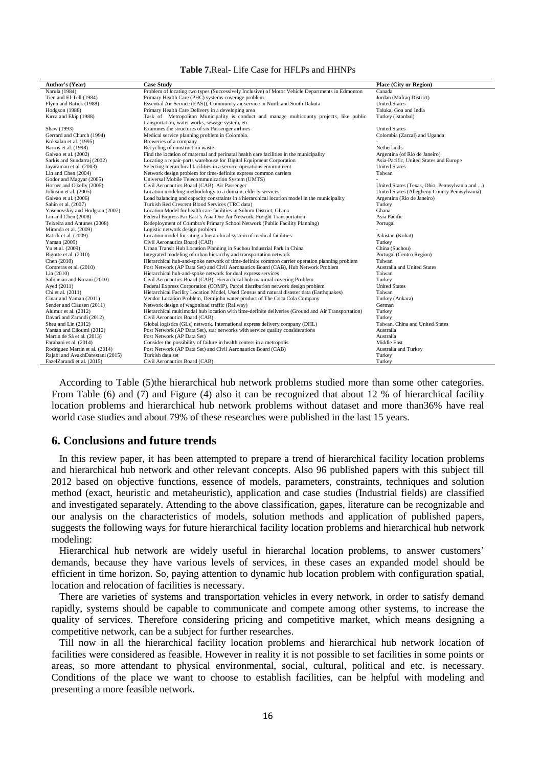#### **Table 7.**Real- Life Case for HFLPs and HHNPs

| Author's (Year)                  | <b>Case Study</b>                                                                                  | <b>Place (City or Region)</b>                  |
|----------------------------------|----------------------------------------------------------------------------------------------------|------------------------------------------------|
| Narula (1984)                    | Problem of locating two types (Successively Inclusive) of Motor Vehicle Departments in Edmonton    | Canada                                         |
| Tien and El-Tell (1984)          | Primary Health Care (PHC) systems coverage problem                                                 | Jordan (Mafraq District)                       |
| Flynn and Ratick (1988)          | Essential Air Service (EAS)), Community air service in North and South Dakota                      | <b>United States</b>                           |
| Hodgson (1988)                   | Primary Health Care Delivery in a developing area                                                  | Taluka, Goa and India                          |
| Kirca and Ekip (1988)            | Task of Metropolitan Municipality is conduct and manage multicounty projects, like public          | Turkey (Istanbul)                              |
|                                  | transportation, water works, sewage system, etc.                                                   |                                                |
| Shaw (1993)                      | Examines the structures of six Passenger airlines                                                  | <b>United States</b>                           |
| Gerrard and Church (1994)        | Medical service planning problem in Colombia.                                                      | Colombia (Zarzal) and Uganda                   |
| Koksalan et al. (1995)           | Breweries of a company                                                                             |                                                |
| Barros et al. (1998)             | Recycling of construction waste                                                                    | Netherlands                                    |
| Galvao et al. (2002)             | Find the location of maternal and perinatal health care facilities in the municipality             | Argentina (of Rio de Janeiro)                  |
| Sarkis and Sundarraj (2002)      | Locating a repair-parts warehouse for Digital Equipment Corporation                                | Asia-Pacific, United States and Europe         |
| Jayaraman et al. (2003)          | Selecting hierarchical facilities in a service-operations environment                              | <b>United States</b>                           |
| Lin and Chen (2004)              | Network design problem for time-definite express common carriers                                   | Taiwan                                         |
| Godor and Magyar (2005)          | Universal Mobile Telecommunication System (UMTS)                                                   |                                                |
| Horner and O'kelly (2005)        | Civil Aeronautics Board (CAB). Air Passenger                                                       | United States (Texas, Ohio, Pennsylvania and ) |
| Johnson et al. (2005)            | Location modeling methodology to a domain, elderly services                                        | United States (Allegheny County Pennsylvania)  |
| Galvao et al. (2006)             | Load balancing and capacity constraints in a hierarchical location model in the municipality       | Argentina (Rio de Janeiro)                     |
| Sahin et al. (2007)              | Turkish Red Crescent Blood Services (TRC data)                                                     | Turkey                                         |
| Yasenovskiy and Hodgson (2007)   | Location Model for health care facilities in Suhum District, Ghana                                 | Ghana                                          |
| Lin and Chen (2008)              | Federal Express Far East's Asia One Air Network, Freight Transportation                            | Asia Pacific                                   |
| Teixeira and Antunes (2008)      | Redeployment of Coimbra's Primary School Network (Public Facility Planning)                        | Portugal                                       |
| Miranda et al. (2009)            | Logistic network design problem                                                                    |                                                |
| Ratick et al. (2009)             | Location model for siting a hierarchical system of medical facilities                              | Pakistan (Kohat)                               |
| Yaman (2009)                     | Civil Aeronautics Board (CAB)                                                                      | Turkey                                         |
| Yu et al. (2009)                 | Urban Transit Hub Location Planning in Suchou Industrial Park in China                             | China (Suchou)                                 |
| Bigotte et al. (2010)            | Integrated modeling of urban hierarchy and transportation network                                  | Portugal (Centro Region)                       |
| Chen $(2010)$                    | Hierarchical hub-and-spoke network of time-definite common carrier operation planning problem      | Taiwan                                         |
| Contreras et al. (2010)          | Post Network (AP Data Set) and Civil Aeronautics Board (CAB), Hub Network Problem                  | Australia and United States                    |
| Lin (2010)                       | Hierarchical hub-and-spoke network for dual express services                                       | Taiwan                                         |
| Sahraeian and Korani (2010)      | Civil Aeronautics Board (CAB), Hierarchical hub maximal covering Problem                           | Turkey                                         |
| Ayed (2011)                      | Federal Express Corporation (COMP), Parcel distribution network design problem                     | <b>United States</b>                           |
| Chi et al. (2011)                | Hierarchical Facility Location Model, Used Census and natural disaster data (Earthquakes)          | Taiwan                                         |
| Cinar and Yaman (2011)           | Vendor Location Problem, Demijohn water product of The Coca Cola Company                           | Turkey (Ankara)                                |
| Sender and Clausen (2011)        | Network design of wagonload traffic (Railway)                                                      | German                                         |
| Alumur et al. (2012)             | Hierarchical multimodal hub location with time-definite deliveries (Ground and Air Transportation) | Turkey                                         |
| Davari and Zarandi (2012)        | Civil Aeronautics Board (CAB)                                                                      | Turkey                                         |
| Sheu and Lin (2012)              | Global logistics (GLs) network. International express delivery company (DHL)                       | Taiwan, China and United States                |
| Yaman and Elloumi (2012)         | Post Network (AP Data Set), star networks with service quality considerations                      | Australia                                      |
| Martin de Sá et al. (2013)       | Post Network (AP Data Set)                                                                         | Australia                                      |
| Farahani et al. (2014)           | Consider the possibility of failure in health centers in a metropolis                              | Middle East                                    |
| Rodriguez Martin et al. (2014)   | Post Network (AP Data Set) and Civil Aeronautics Board (CAB)                                       | Australia and Turkey                           |
| Rajabi and AvakhDarestani (2015) | Turkish data set                                                                                   | Turkey                                         |
| FazelZarandi et al. (2015)       | Civil Aeronautics Board (CAB)                                                                      | Turkey                                         |

According to Table (5)the hierarchical hub network problems studied more than some other categories. From Table (6) and (7) and Figure (4) also it can be recognized that about 12 % of hierarchical facility location problems and hierarchical hub network problems without dataset and more than36% have real world case studies and about 79% of these researches were published in the last 15 years.

#### **6. Conclusions and future trends**

In this review paper, it has been attempted to prepare a trend of hierarchical facility location problems and hierarchical hub network and other relevant concepts. Also 96 published papers with this subject till 2012 based on objective functions, essence of models, parameters, constraints, techniques and solution method (exact, heuristic and metaheuristic), application and case studies (Industrial fields) are classified and investigated separately. Attending to the above classification, gapes, literature can be recognizable and our analysis on the characteristics of models, solution methods and application of published papers, suggests the following ways for future hierarchical facility location problems and hierarchical hub network modeling:

Hierarchical hub network are widely useful in hierarchal location problems, to answer customers' demands, because they have various levels of services, in these cases an expanded model should be efficient in time horizon. So, paying attention to dynamic hub location problem with configuration spatial, location and relocation of facilities is necessary.

There are varieties of systems and transportation vehicles in every network, in order to satisfy demand rapidly, systems should be capable to communicate and compete among other systems, to increase the quality of services. Therefore considering pricing and competitive market, which means designing a competitive network, can be a subject for further researches.

Till now in all the hierarchical facility location problems and hierarchical hub network location of facilities were considered as feasible. However in reality it is not possible to set facilities in some points or areas, so more attendant to physical environmental, social, cultural, political and etc. is necessary. Conditions of the place we want to choose to establish facilities, can be helpful with modeling and presenting a more feasible network.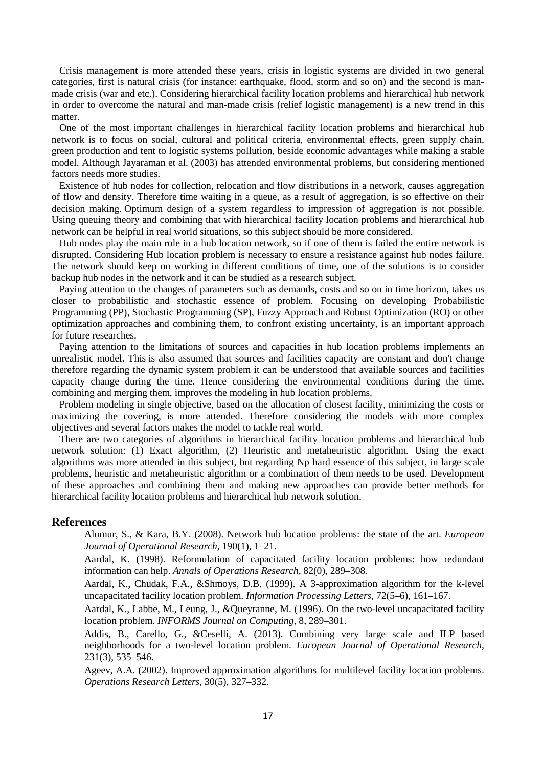Crisis management is more attended these years, crisis in logistic systems are divided in two general categories, first is natural crisis (for instance: earthquake, flood, storm and so on) and the second is manmade crisis (war and etc.). Considering hierarchical facility location problems and hierarchical hub network in order to overcome the natural and man-made crisis (relief logistic management) is a new trend in this matter.

One of the most important challenges in hierarchical facility location problems and hierarchical hub network is to focus on social, cultural and political criteria, environmental effects, green supply chain, green production and tent to logistic systems pollution, beside economic advantages while making a stable model. Although Jayaraman et al. (2003) has attended environmental problems, but considering mentioned factors needs more studies.

Existence of hub nodes for collection, relocation and flow distributions in a network, causes aggregation of flow and density. Therefore time waiting in a queue, as a result of aggregation, is so effective on their decision making. Optimum design of a system regardless to impression of aggregation is not possible. Using queuing theory and combining that with hierarchical facility location problems and hierarchical hub network can be helpful in real world situations, so this subject should be more considered.

Hub nodes play the main role in a hub location network, so if one of them is failed the entire network is disrupted. Considering Hub location problem is necessary to ensure a resistance against hub nodes failure. The network should keep on working in different conditions of time, one of the solutions is to consider backup hub nodes in the network and it can be studied as a research subject.

Paying attention to the changes of parameters such as demands, costs and so on in time horizon, takes us closer to probabilistic and stochastic essence of problem. Focusing on developing Probabilistic Programming (PP), Stochastic Programming (SP), Fuzzy Approach and Robust Optimization (RO) or other optimization approaches and combining them, to confront existing uncertainty, is an important approach for future researches.

Paying attention to the limitations of sources and capacities in hub location problems implements an unrealistic model. This is also assumed that sources and facilities capacity are constant and don't change therefore regarding the dynamic system problem it can be understood that available sources and facilities capacity change during the time. Hence considering the environmental conditions during the time, combining and merging them, improves the modeling in hub location problems.

Problem modeling in single objective, based on the allocation of closest facility, minimizing the costs or maximizing the covering, is more attended. Therefore considering the models with more complex objectives and several factors makes the model to tackle real world.

There are two categories of algorithms in hierarchical facility location problems and hierarchical hub network solution: (1) Exact algorithm, (2) Heuristic and metaheuristic algorithm. Using the exact algorithms was more attended in this subject, but regarding Np hard essence of this subject, in large scale problems, heuristic and metaheuristic algorithm or a combination of them needs to be used. Development of these approaches and combining them and making new approaches can provide better methods for hierarchical facility location problems and hierarchical hub network solution.

# **References**

Alumur, S., & Kara, B.Y. (2008). Network hub location problems: the state of the art. *European Journal of Operational Research,* 190(1), 1–21.

Aardal, K. (1998). Reformulation of capacitated facility location problems: how redundant information can help. *Annals of Operations Research,* 82(0), 289–308.

Aardal, K., Chudak, F.A., &Shmoys, D.B. (1999). A 3-approximation algorithm for the k-level uncapacitated facility location problem. *Information Processing Letters,* 72(5–6), 161–167.

Aardal, K., Labbe, M., Leung, J., & Queyranne, M. (1996). On the two-level uncapacitated facility location problem. *INFORMS Journal on Computing,* 8, 289–301.

Addis, B., Carello, G., &Ceselli, A. (2013). Combining very large scale and ILP based neighborhoods for a two-level location problem. *European Journal of Operational Research,*  231(3), 535–546.

Ageev, A.A. (2002). Improved approximation algorithms for multilevel facility location problems. *Operations Research Letters,* 30(5), 327–332.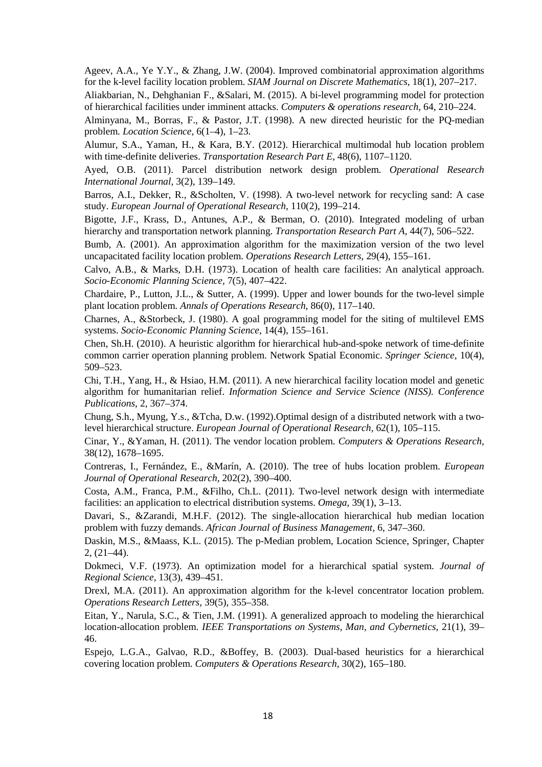Ageev, A.A., Ye Y.Y., & Zhang, J.W. (2004). Improved combinatorial approximation algorithms for the k-level facility location problem. *SIAM Journal on Discrete Mathematics,* 18(1), 207–217.

Aliakbarian, N., Dehghanian F., &Salari, M. (2015). A bi-level programming model for protection of hierarchical facilities under imminent attacks. *Computers & operations research,* 64, 210–224.

Alminyana, M., Borras, F., & Pastor, J.T. (1998). A new directed heuristic for the PQ-median problem. *Location Science,* 6(1–4), 1–23.

Alumur, S.A., Yaman, H., & Kara, B.Y. (2012). Hierarchical multimodal hub location problem with time-definite deliveries. *Transportation Research Part E,* 48(6), 1107–1120.

Ayed, O.B. (2011). Parcel distribution network design problem. *Operational Research International Journal,* 3(2), 139–149.

Barros, A.I., Dekker, R., &Scholten, V. (1998). A two-level network for recycling sand: A case study. *European Journal of Operational Research,* 110(2), 199–214.

Bigotte, J.F., Krass, D., Antunes, A.P., & Berman, O. (2010). Integrated modeling of urban hierarchy and transportation network planning. *Transportation Research Part A,* 44(7), 506–522.

Bumb, A. (2001). An approximation algorithm for the maximization version of the two level uncapacitated facility location problem. *Operations Research Letters,* 29(4), 155–161.

Calvo, A.B., & Marks, D.H. (1973). Location of health care facilities: An analytical approach. *Socio-Economic Planning Science,* 7(5), 407–422.

Chardaire, P., Lutton, J.L., & Sutter, A. (1999). Upper and lower bounds for the two-level simple plant location problem. *Annals of Operations Research,* 86(0), 117–140.

Charnes, A., &Storbeck, J. (1980). A goal programming model for the siting of multilevel EMS systems. *Socio-Economic Planning Science,* 14(4), 155–161.

Chen, Sh.H. (2010). A heuristic algorithm for hierarchical hub-and-spoke network of time-definite common carrier operation planning problem. Network Spatial Economic. *Springer Science,* 10(4), 509–523.

Chi, T.H., Yang, H., & Hsiao, H.M. (2011). A new hierarchical facility location model and genetic algorithm for humanitarian relief. *Information Science and Service Science (NISS). Conference Publications,* 2, 367–374.

Chung, S.h., Myung, Y.s., &Tcha, D.w. (1992).Optimal design of a distributed network with a twolevel hierarchical structure. *European Journal of Operational Research,* 62(1), 105–115.

Cinar, Y., &Yaman, H. (2011). The vendor location problem. *Computers & Operations Research,*  38(12), 1678–1695.

Contreras, I., Fernández, E., &Marín, A. (2010). The tree of hubs location problem. *European Journal of Operational Research,* 202(2), 390–400.

Costa, A.M., Franca, P.M., &Filho, Ch.L. (2011). Two-level network design with intermediate facilities: an application to electrical distribution systems. *Omega,* 39(1), 3–13.

Davari, S., &Zarandi, M.H.F. (2012). The single-allocation hierarchical hub median location problem with fuzzy demands. *African Journal of Business Management,* 6, 347–360.

Daskin, M.S., &Maass, K.L. (2015). The p-Median problem, Location Science, Springer, Chapter 2, (21–44).

Dokmeci, V.F. (1973). An optimization model for a hierarchical spatial system. *Journal of Regional Science,* 13(3), 439–451.

Drexl, M.A. (2011). An approximation algorithm for the k-level concentrator location problem. *Operations Research Letters,* 39(5), 355–358.

Eitan, Y., Narula, S.C., & Tien, J.M. (1991). A generalized approach to modeling the hierarchical location-allocation problem. *IEEE Transportations on Systems, Man, and Cybernetics,* 21(1), 39– 46.

Espejo, L.G.A., Galvao, R.D., &Boffey, B. (2003). Dual-based heuristics for a hierarchical covering location problem. *Computers & Operations Research,* 30(2), 165–180.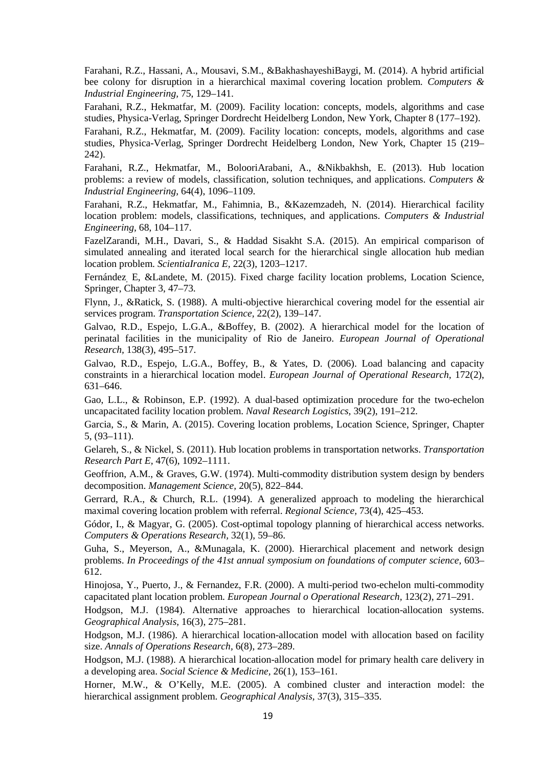Farahani, R.Z., Hassani, A., Mousavi, S.M., &BakhashayeshiBaygi, M. (2014). A hybrid artificial bee colony for disruption in a hierarchical maximal covering location problem. *Computers & Industrial Engineering,* 75, 129–141.

Farahani, R.Z., Hekmatfar, M. (2009). Facility location: concepts, models, algorithms and case studies, Physica-Verlag, Springer Dordrecht Heidelberg London, New York, Chapter 8 (177–192).

Farahani, R.Z., Hekmatfar, M. (2009). Facility location: concepts, models, algorithms and case studies, Physica-Verlag, Springer Dordrecht Heidelberg London, New York, Chapter 15 (219– 242).

Farahani, R.Z., Hekmatfar, M., BolooriArabani, A., &Nikbakhsh, E. (2013). Hub location problems: a review of models, classification, solution techniques, and applications. *Computers & Industrial Engineering,* 64(4), 1096–1109.

Farahani, R.Z., Hekmatfar, M., Fahimnia, B., &Kazemzadeh, N. (2014). Hierarchical facility location problem: models, classifications, techniques, and applications. *Computers & Industrial Engineering,* 68, 104–117.

FazelZarandi, M.H., Davari, S., & Haddad Sisakht S.A. (2015). An empirical comparison of simulated annealing and iterated local search for the hierarchical single allocation hub median location problem. *ScientiaIranica E,* 22(3), 1203–1217.

Fernández<sub>,</sub> E, &Landete, M. (2015). Fixed charge facility location problems, Location Science, Springer, Chapter 3, 47–73.

Flynn, J., &Ratick, S. (1988). A multi-objective hierarchical covering model for the essential air services program. *Transportation Science,* 22(2), 139–147.

Galvao, R.D., Espejo, L.G.A., &Boffey, B. (2002). A hierarchical model for the location of perinatal facilities in the municipality of Rio de Janeiro. *European Journal of Operational Research,* 138(3), 495–517.

Galvao, R.D., Espejo, L.G.A., Boffey, B., & Yates, D. (2006). Load balancing and capacity constraints in a hierarchical location model. *European Journal of Operational Research,* 172(2), 631–646.

Gao, L.L., & Robinson, E.P. (1992). A dual-based optimization procedure for the two-echelon uncapacitated facility location problem. *Naval Research Logistics,* 39(2), 191–212.

Garcia, S., & Marin, A. (2015). Covering location problems, Location Science, Springer, Chapter 5, (93–111).

Gelareh, S., & Nickel, S. (2011). Hub location problems in transportation networks. *Transportation Research Part E,* 47(6), 1092–1111.

Geoffrion, A.M., & Graves, G.W. (1974). Multi-commodity distribution system design by benders decomposition. *Management Science,* 20(5), 822–844.

Gerrard, R.A., & Church, R.L. (1994). A generalized approach to modeling the hierarchical maximal covering location problem with referral. *Regional Science,* 73(4), 425–453.

Gódor, I., & Magyar, G. (2005). Cost-optimal topology planning of hierarchical access networks. *Computers & Operations Research,* 32(1), 59–86.

Guha, S., Meyerson, A., &Munagala, K. (2000). Hierarchical placement and network design problems. *In Proceedings of the 41st annual symposium on foundations of computer science,* 603– 612.

Hinojosa, Y., Puerto, J., & Fernandez, F.R. (2000). A multi-period two-echelon multi-commodity capacitated plant location problem. *European Journal o Operational Research,* 123(2), 271–291.

Hodgson, M.J. (1984). Alternative approaches to hierarchical location-allocation systems. *Geographical Analysis,* 16(3), 275–281.

Hodgson, M.J. (1986). A hierarchical location-allocation model with allocation based on facility size. *Annals of Operations Research,* 6(8), 273–289.

Hodgson, M.J. (1988). A hierarchical location-allocation model for primary health care delivery in a developing area. *Social Science & Medicine,* 26(1), 153–161.

Horner, M.W., & O'Kelly, M.E. (2005). A combined cluster and interaction model: the hierarchical assignment problem. *Geographical Analysis,* 37(3), 315–335.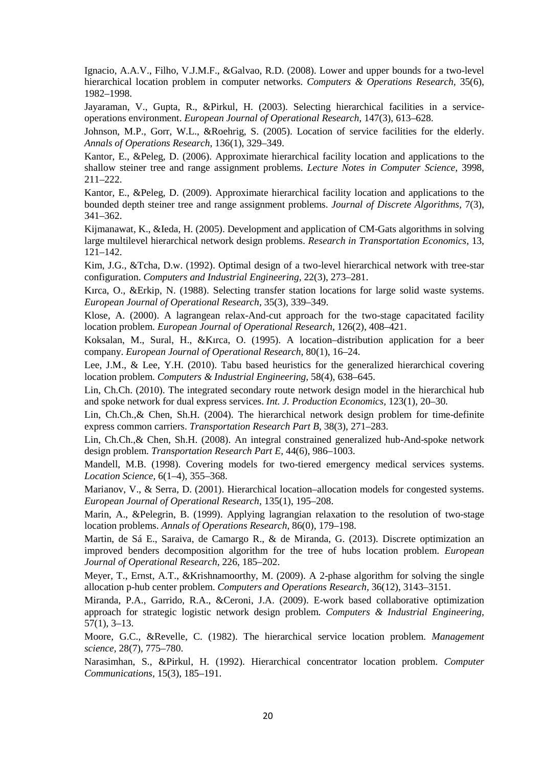Ignacio, A.A.V., Filho, V.J.M.F., &Galvao, R.D. (2008). Lower and upper bounds for a two-level hierarchical location problem in computer networks. *Computers & Operations Research,* 35(6), 1982–1998.

Jayaraman, V., Gupta, R., &Pirkul, H. (2003). Selecting hierarchical facilities in a serviceoperations environment. *European Journal of Operational Research,* 147(3), 613–628.

Johnson, M.P., Gorr, W.L., &Roehrig, S. (2005). Location of service facilities for the elderly. *Annals of Operations Research,* 136(1), 329–349.

Kantor, E., &Peleg, D. (2006). Approximate hierarchical facility location and applications to the shallow steiner tree and range assignment problems. *Lecture Notes in Computer Science,* 3998, 211–222.

Kantor, E., &Peleg, D. (2009). Approximate hierarchical facility location and applications to the bounded depth steiner tree and range assignment problems. *Journal of Discrete Algorithms,* 7(3), 341–362.

Kijmanawat, K., &Ieda, H. (2005). Development and application of CM-Gats algorithms in solving large multilevel hierarchical network design problems. *Research in Transportation Economics,* 13, 121–142.

Kim, J.G., &Tcha, D.w. (1992). Optimal design of a two-level hierarchical network with tree-star configuration. *Computers and Industrial Engineering,* 22(3), 273–281.

Kırca, O., &Erkip, N. (1988). Selecting transfer station locations for large solid waste systems. *European Journal of Operational Research,* 35(3), 339–349.

Klose, A. (2000). A lagrangean relax-And-cut approach for the two-stage capacitated facility location problem. *European Journal of Operational Research,* 126(2), 408–421.

Koksalan, M., Sural, H., &Kırca, O. (1995). A location–distribution application for a beer company. *European Journal of Operational Research,* 80(1), 16–24.

Lee, J.M., & Lee, Y.H. (2010). Tabu based heuristics for the generalized hierarchical covering location problem. *Computers & Industrial Engineering,* 58(4), 638–645.

Lin, Ch.Ch. (2010). The integrated secondary route network design model in the hierarchical hub and spoke network for dual express services. *Int. J. Production Economics,* 123(1), 20–30.

Lin, Ch.Ch.,& Chen, Sh.H. (2004). The hierarchical network design problem for time-definite express common carriers. *Transportation Research Part B,* 38(3), 271–283.

Lin, Ch.Ch.,& Chen, Sh.H. (2008). An integral constrained generalized hub-And-spoke network design problem. *Transportation Research Part E,* 44(6), 986–1003.

Mandell, M.B. (1998). Covering models for two-tiered emergency medical services systems. *Location Science,* 6(1–4), 355–368.

Marianov, V., & Serra, D. (2001). Hierarchical location–allocation models for congested systems. *European Journal of Operational Research,* 135(1), 195–208.

Marin, A., &Pelegrin, B. (1999). Applying lagrangian relaxation to the resolution of two-stage location problems. *Annals of Operations Research,* 86(0), 179–198.

Martin, de Sá E., Saraiva, de Camargo R., & de Miranda, G. (2013). Discrete optimization an improved benders decomposition algorithm for the tree of hubs location problem. *European Journal of Operational Research,* 226, 185–202.

Meyer, T., Ernst, A.T., &Krishnamoorthy, M. (2009). A 2-phase algorithm for solving the single allocation p-hub center problem. *Computers and Operations Research,* 36(12), 3143–3151.

Miranda, P.A., Garrido, R.A., &Ceroni, J.A. (2009). E-work based collaborative optimization approach for strategic logistic network design problem. *Computers & Industrial Engineering,*  57(1), 3–13.

Moore, G.C., &Revelle, C. (1982). The hierarchical service location problem. *Management science,* 28(7), 775–780.

Narasimhan, S., &Pirkul, H. (1992). Hierarchical concentrator location problem. *Computer Communications,* 15(3), 185–191.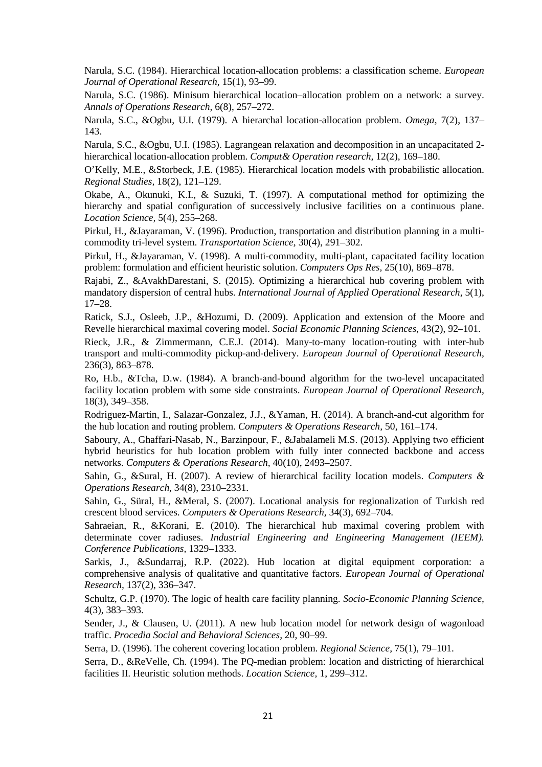Narula, S.C. (1984). Hierarchical location-allocation problems: a classification scheme. *European Journal of Operational Research,* 15(1), 93–99.

Narula, S.C. (1986). Minisum hierarchical location–allocation problem on a network: a survey. *Annals of Operations Research,* 6(8), 257–272.

Narula, S.C., &Ogbu, U.I. (1979). A hierarchal location-allocation problem. *Omega,* 7(2), 137– 143.

Narula, S.C., &Ogbu, U.I. (1985). Lagrangean relaxation and decomposition in an uncapacitated 2 hierarchical location-allocation problem. *Comput& Operation research,* 12(2), 169–180.

O'Kelly, M.E., &Storbeck, J.E. (1985). Hierarchical location models with probabilistic allocation. *Regional Studies,* 18(2), 121–129.

Okabe, A., Okunuki, K.I., & Suzuki, T. (1997). A computational method for optimizing the hierarchy and spatial configuration of successively inclusive facilities on a continuous plane. *Location Science,* 5(4), 255–268.

Pirkul, H., &Jayaraman, V. (1996). Production, transportation and distribution planning in a multicommodity tri-level system. *Transportation Science,* 30(4), 291–302.

Pirkul, H., &Jayaraman, V. (1998). A multi-commodity, multi-plant, capacitated facility location problem: formulation and efficient heuristic solution. *Computers Ops Res,* 25(10), 869–878.

Rajabi, Z., &AvakhDarestani, S. (2015). Optimizing a hierarchical hub covering problem with mandatory dispersion of central hubs. *International Journal of Applied Operational Research,* 5(1), 17–28.

Ratick, S.J., Osleeb, J.P., &Hozumi, D. (2009). Application and extension of the Moore and Revelle hierarchical maximal covering model. *Social Economic Planning Sciences,* 43(2), 92–101.

Rieck, J.R., & Zimmermann, C.E.J. (2014). Many-to-many location-routing with inter-hub transport and multi-commodity pickup-and-delivery. *European Journal of Operational Research,*  236(3), 863–878.

Ro, H.b., &Tcha, D.w. (1984). A branch-and-bound algorithm for the two-level uncapacitated facility location problem with some side constraints. *European Journal of Operational Research,*  18(3), 349–358.

Rodriguez-Martin, I., Salazar-Gonzalez, J.J., &Yaman, H. (2014). A branch-and-cut algorithm for the hub location and routing problem. *Computers & Operations Research,* 50, 161–174.

Saboury, A., Ghaffari-Nasab, N., Barzinpour, F., &Jabalameli M.S. (2013). Applying two efficient hybrid heuristics for hub location problem with fully inter connected backbone and access networks. *Computers & Operations Research,* 40(10), 2493–2507.

Sahin, G., &Sural, H. (2007). A review of hierarchical facility location models. *Computers & Operations Research,* 34(8), 2310–2331.

Sahin, G., Süral, H., &Meral, S. (2007). Locational analysis for regionalization of Turkish red crescent blood services. *Computers & Operations Research,* 34(3), 692–704.

Sahraeian, R., &Korani, E. (2010). The hierarchical hub maximal covering problem with determinate cover radiuses. *Industrial Engineering and Engineering Management (IEEM). Conference Publications,* 1329–1333.

Sarkis, J., &Sundarraj, R.P. (2022). Hub location at digital equipment corporation: a comprehensive analysis of qualitative and quantitative factors. *European Journal of Operational Research,* 137(2), 336–347.

Schultz, G.P. (1970). The logic of health care facility planning. *Socio-Economic Planning Science,* 4(3), 383–393.

Sender, J., & Clausen, U. (2011). A new hub location model for network design of wagonload traffic. *Procedia Social and Behavioral Sciences,* 20, 90–99.

Serra, D. (1996). The coherent covering location problem. *Regional Science,* 75(1), 79–101.

Serra, D., &ReVelle, Ch. (1994). The PQ-median problem: location and districting of hierarchical facilities II. Heuristic solution methods. *Location Science,* 1, 299–312.